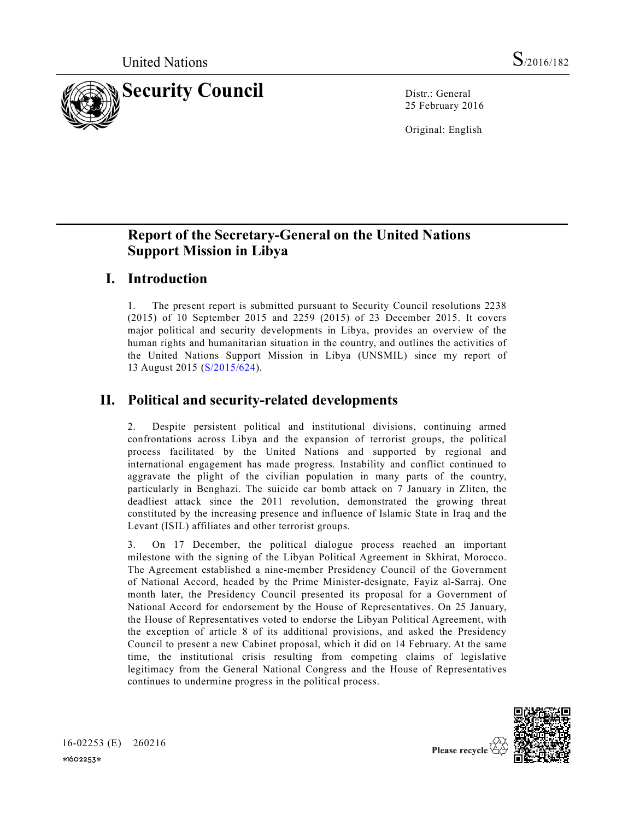

 $S$ <br>  $2016/182$ <br>
Distr.: General<br>
25 February 2016<br>
Original: English S/2016/182<br>Distr.: General<br>25 February 2016<br>Original: English

# Report of the Secretary-General on the United Nations Support Mission in Libya

## I. Introduction

S<sub>(2016/182</sub><br>
1. The present report **Council**<br>
2.5 February 2016<br>
3.5 February 2016<br>
3.5 February 2016<br>
3.5 February 2016<br>
3.5 February 2016<br>
3.5 **Report of the Secretary-General on the United Nations 2238**<br>
3.5 **Cause of** Security Council<br>
Security Council<br>
25 February 2016<br>
25 February 2016<br>
25 February 2016<br>
25 February 2016<br>
25 February 2016<br>
27 Original: English<br>
27 Original: English<br>
27 Original: English<br>
27 Original: English<br>
27 Origi **Security Council**<br> **Security Council**<br> **Bistr.: General**<br> **Bistra: General**<br> **Diginal: English**<br> **Report of the Secretary-General on the United Nations**<br> **Support Mission in Libya**<br> **Introduction**<br>
1. The present report **Security Council**<br>
25 February 2016<br>
25 February 2016<br>
Original: English<br> **Report of the Secretary-General on the United Nations**<br> **Support Mission in Libya**<br>
1. The present report is submitted pursuant to Security Counci **Example 18 Security Council**<br>
25 February 2016<br>
25 February 2016<br>
0riginal: English<br> **Report of the Secretary-General on the United Nations**<br> **Support Mission in Libya**<br> **Introduction**<br>
1. The present report is submitted 25 February 2016<br>
Original: English<br>
Original: English<br> **Report of the Secretary-General on the United Nations**<br> **Support Mission in Libya**<br> **Introduction**<br>
1. The present report is submitted pursuant to Security Council r

## II. Political and security-related developments

**Report of the Secretary-General on the United Nations**<br> **Support Mission in Libya**<br>
1. The present report is submitted pursuant to Security Council resolutions 2238<br>
(2015) of 10 September 2015 and 2259 (2015) of 23 Dece **Report of the Secretary-General on the United Nations**<br> **Support Mission in Libya**<br> **Introduction**<br>
1. The present report is submitted pursuant to Security Council resolutions 2238<br>
(2015) of 10 September 2015 and 2259 ( **Report of the Secretary-General on the United Nations**<br> **Support Mission in Libya**<br>
1. The present report is submitted pursuant to Security Council resolutions 2238<br>
(2015) of 10 September 2015 and 2259 (2015) of 23 Dece **Report of the Secretary-General on the United Nations**<br>**Support Mission in Libya**<br> **Introduction**<br>
1. The present report is submitted pursuant to Security Council resolutions 2238<br>
(2015) of 10 September 2015 and 2259 (2 **Report of the Secretary-General on the United Nations**<br> **Support Mission in Libya**<br> **Introduction**<br>
1. The present report is submitted pursuant to Security Council resolutions 2238<br>
(2015) of 10 September 2015 and 2259 ( **Report of the Secretary-General on the United Nations**<br>**Support Mission in Libya**<br>**Introduction**<br>1. The present report is submitted pursuant to Security Council resolutions 2238<br>(2015) of 10 September 2015 and 2259 (2015 **Report of the Secretary-General on the United Nations**<br> **Support Mission in Libya**<br>
1. The present report is submitted pursuant to Security Council resolutions 2238<br>
(2015) of 10 September 2015 and 2259 (2015) of 23 Dece **Support Mission in Libya**<br>
1. The present report is submitted pursuant to Security Council resolutions 2238<br>
(2015) of 10 September 2015 and 2259 (2015) of 23 December 2015. It covers<br>
major political and security develop **Infroduction**<br>
1. The present report is submitted pursuant to Security Council resolutions 2238<br>
(2015) of 10 September 2015 and 2259 (2015) of 23 December 2015. It covers<br>
major political and security developments in Lib **Introduction**<br>
1. The present report is submitted pursuant to Security Council resolutions 2238<br>
(2015) of 10 September 2015 and 2259 (2015) of 23 December 2015. It covers<br>
major political and security developments in Lib 1. The present report is submitted pursuant to Security Council resolutions 2238 (2015) of 10 September 2015 and 2259 (2015) of 23 December 2015. It covers<br>major political and security developments in Libya, provides an ov 1. The present report is submitted pursuant to Security Council resolutions 2238<br>(2015) of 10 September 2015 and 2259 (2015) of 23 December 2015. It covers<br>major political and security developments in Libya, provides an ov

suggravate the plight of the civilian population in many parts of the constrained by the increasing presence and influence of Islamic State in Iraq denditest attack since the 2011 revolution, demonstrated the growing cons (2015) of 10 September 2015 and 2259 (2015) of 23 December 2015. It covers<br>major political and security developments in Libya, provides an overview of the<br>human rights and humanitarian situation in the country, and outlin moir political and security developments in Libya, provides an overview of the United Nations Support Mission in Libya (UNSMIL) since my report of the United Nations Support Mission in Libya (UNSMIL) since my report of 13 human rights and humanilarins instudion in the country, and outlines the activities of<br>the United Nations Support Mission in Libya (UNSMIL) since my report of<br>13 August 2015 (S/2015/624).<br>**Political and security-related de** the United Nations Support Mission in Libya (UNSMIL) since my report of  $13$  August 2015 (\$/2015/624).<br> **Political and security-related developments**<br>
2. Despite persistent political and institutional divisions, continuing 13 August 2015 (S/2015/624).<br> **Political and security-related developments**<br>
2. Despite persistent political and institutional divisions, continuing armed<br>
confrontations across Libya and the expansion of terrorist groups **Political and security-related developments**<br>2. Despite persistent political and institutional divisions, continuing armed<br>confrontations across Libya and the expansion of terrorist groups, the political<br>process facilita **Political and security-related developments**<br>
2. Despite persistent political and institutional divisions, continuing armed<br>
confrontnations across Liby and the expansion of terrorist groups, the political<br>
process facil **PUILICAN ARIOL SECULITY-PERIOD OF CONDIDICATISTS**<br>
confromations across Liby and the expansion of terrorist groups, the political<br>
confronations across a fillited by the United National divisions, continuing armed<br>
proce 2. Despite persistent political and institutional divisions, continuing armed<br>confrontnions across Liby and the expansion of terrorist groups, the political<br>process facilitated by the United Nations and supported by region



\*1602253\*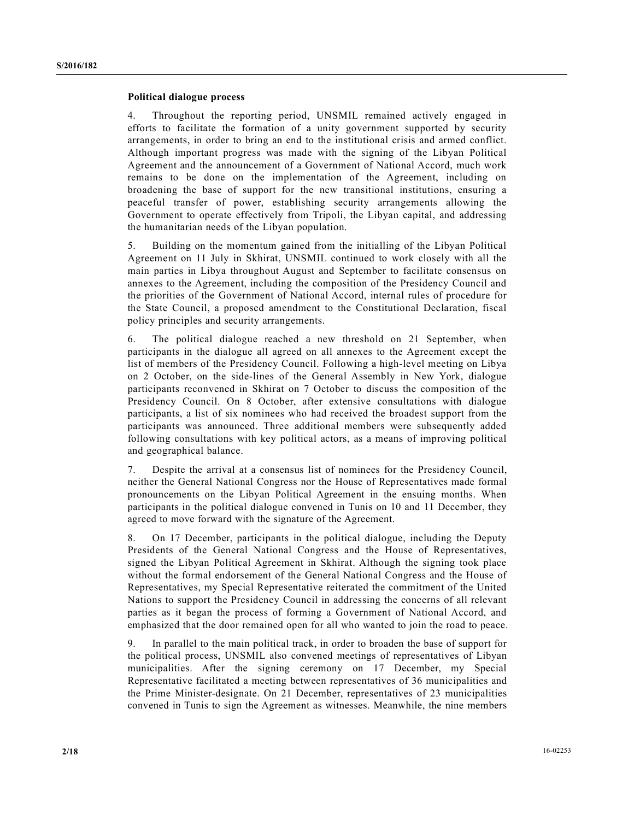**Political dialogue process**<br>4. Throughout the reporting period, UNSMIL remained actively engaged in<br>efforts to facilitate the formation of a unity government supported by security<br>arrangements, in order to bring an end to **Political dialogue process**<br>4. Throughout the reporting period, UNSMIL remained actively engaged in<br>efforts to facilitate the formation of a unity government supported by security<br>Although important progress was made with **Political dialogue process**<br>4. Throughout the reporting period, UNSMIL remained actively engaged in<br>efforts to facilitate the formation of a unity government supported by security<br>arrangements, in order to bring an end to **Political dialogue process**<br>4. Throughout the reporting period, UNSMIL remained actively engaged in<br>efforts to facilitate the formation of a unity government supported by security<br>arrangements, in order to bring an end to **Political dialogue process**<br>4. Throughout the reporting period, UNSMIL remained actively engaged in<br>efforts to facilitate the formation of a unity government supported by security<br>arrangements, in order to bring an end to **Political dialogue process**<br>4. Throughout the reporting period, UNSMIL remained actively engaged in<br>efforts to facilitate the formation of a unity government supported by security<br>arrangements, in order to bring an end to **Political dialogue process**<br>4. Throughout the reporting period, UNSMIL remained actively engaged in<br>efforts to facilitate the formation of a unity government supported by security<br>arrangements, in order to bring an end to **Political dialogue process**<br>4. Throughout the reporting period, UNSMIL remained actively engaged in<br>efforts to facilitate the formation of a unity government supported by security<br>arrangements, in order to bring an end to **Political dialogue process**<br>
4. Throughout the reporting period, UNSMIL remained actively engaged in<br>
efforts to facilitate the formation of a unity government supported by security<br>
arrangements, in order to bring an end Political dialogue process<br>4. Throughout the reporting period, UNSMIL remained actively engaged in<br>efforts to facilitate the formation of a unity government supported by security<br>Although important progress was made with t **Political dialogue process**<br>
4. Throughout the reporting period, UNSMIL remained actively engaged in<br>
efficits to findition the formation of a unity government supported by security<br>
arrangements, in order to bring an end **Political dialogue process**<br>4. Throughout the reporting period, UNSMIL remained actively engaged in efforts to facilitate the formation of a unity government supported by security arrangements, in order to bring an end to **Political dialogue process**<br>
4. Throughout the reporting period, UNSMIL remained actively engaged in<br>
4: Chrostophout the reportion of a unity government supported by security<br>
arrangements, in order to bring an end to th **Political dialogue process**<br>
4. Throughout the reporting period, UNSMIL remained actively engaged in<br>
4: Throughout the reportion of a unity government supported by security<br>
articles in coler to bring an end to the insti **Political dialogue process**<br>
4. Throughout the reproring period, UNSMIL remained actively engaged in efficits to facilitiete the formation of a unity government supported by security carragements, in order to bring an ead **Political dialogue process**<br>4. Throughout the reporting period, UNSMIL remained actively engaged in<br>efforms to facilitate the formation of a unity government supported by security<br>arresprenents, in order to bring an end t **Political dialogue process**<br>
4. Throughout the reporting period, UNSMIL remained actively engaged in effects to facilitate the formation of a unity government suppored by security arrangements, in order to bring am end to **Political dialogue process**<br>4. Throughout the reporting period, UNSMIL remained actively engaged in<br>efforts to facilitate the formation of a unity government supported by security<br>arrangements, in order to bring an end to **Political dialogue process**<br>4. Throughout the reporting period, UNSMIL remained actively engaged in<br>efforts to facilitate the formation of a unity government supported by security<br>arrespondents, in order to bring an end t **Political dialogue process**<br>
4. Throughout the reporting period, UNSMIL remained actively engaged in efficients to facilitate the formation of a unity government suppored by security arrangements, in order to bring an end **Political dialogue process**<br>
4. Throughout the reporting period, UNSMIL remained actively engaged in<br>
4fforts to fictlitate the formation of a unity government suppored by security<br>
artifacts of the Drivero bring an ed to 4. Throughout the reporting period, UNSMIL remained actively engaged in efficis to Inciditate the formation of a unity government suppored by security carracterias, in order to bring an ead to the institutional crisis and

efforts to facilitate the formation of a unity government supported by security<br>arrangements, in order to bring an end to the institutional crisis and armod conflict.<br>Although important progress was made with the signing o arrangements, in order to bring an end to the institutional crisis and armed conflict.<br>Although important progress was made with the signing of the Libyan Political<br>Agreement and the announcement of a Government of Nationa Although important progress, was made with the signing of the Libyan Political<br>Agreement and the amounement of a Government of National Accord, much work<br>remains to be done on the implementation of the Agreement, including Agreement and the announcement of a Government of National Accord, much work<br>
remains to be done on the implementation of the Agreement, including on<br>
broadening the base of support for the new transitional institutions, e remains to be done on the implementation of the Agreement, including on<br>broadening the base of support for the new transitional institutions, ensuring a<br>peaceful transfer of power, establishing security arrangements allowi broadening the base of support for the new transitional institutions, ensuring a<br>peaceful transfer of power, establishing security arrangements allowing the<br>Government to operate effectively from Tripoli, the Libyan capita peacelul transler of power, establishing security arrangements a luborup the Covernment to operate effectively from Tripoli, the Libyan capital, and addressing the humanitarian needs of the Libyan population.<br>
2. Building Government to operate ellectively from Trippeli, the Libyan capital, and addressing<br>the humanitarian needs of the Libyan population.<br>5. Building on the momentum gained from the initialling of the Libyan Political<br>Agreement the humanitarian needs of the Libyan population.<br>
S. Building on the momentum gained from the initialling of the Libyan Political<br>
Agreement on 11 July in Skhirar, UNSMIL continued to work closely with all the<br>
main partie 5. Building on the momentum gained from the initialling of the Libyan Political Agreement on 11 July in Skhirat, UNSMIL continued to work clossely with all the participas in the Agreement, including the composition of the Agreement on 11 July in Skhirat, UNSMIL continued to work closely with all the main parties in Libya hroughet all signature Agrestian September to facilitate consensus on an<br>annexes to the Agreement, including the composit man parties in Lobya lurougust Mayust and September to lawilitie consensus on<br>manexes to the Agreement, including the composition of the Presidency Council and<br>the priorities of the Government of National Accord, internal amackes to the Agreement, meloding the composition of the Presidency Council and<br>presidents of the Sinceriori, a proposed amendment to the Constitutional Declaration, fiscal<br>policy principles and security arrangements to t the promittes of the Government of National Accord, internal truest of procedure for<br>the State Council, a proposed amendment to the Constitutional Declaration, fiscal<br>policy principles and security arrangements.<br>
S. The po the State Council, a proposed amendment to the Constitutional Declaration, insell<br>policy principles and security arrangements.<br>6. The political dialogue reached a new threshold on 21 September, when<br>participuans in the dia policy principles and security arrangements.<br>
So. The political dialogue reached a new threshold on 21 Septement except the<br>
Brattelents of the Presidency Council. Following a high-level meeting on Lisby<br>
and 20 October, o 6. The political dialogue reached a new threshold on 21 September, when<br>participants in the dialogue all agreed on all amences to the Agreement except the<br>pist of members of the Presidency Council. Following a high-level m participants in the dialogue all agreed on all annexes to the Agreement except the<br>
list of members of the Presidency Council. Following a high-level meeting on Libya<br>
and 2 October, on the side-lines of the Gieneral Assem list of members of the Presidency Council. Following a high-level meeting on 1, bya and 2 October, om the side lines of the Grearal Assembly in New York, dialogue participants reconvened in Skhriat on 7 October after coins

2. October, on the side-lines of the General Assembly in New York, dialogue<br>participants reconvened in Shirat on 7 October to discuss the composition of the<br>Presidency Council. On 8 October, after extensive consultations w participants reconvened in Schirati on 7 October to discuss the composition of the participants, a list of six noninees who had received the broades support from the participants, as is of save noninees who had received th Presidents Council. On 8 Oetober, aller extensive consultations with dialogue participants, a list of six noninees who had received the broadest support from the following consultations with key politicial members were sub participants, as last of six nominees who had received the broadest support from the broadest support from the broadest support from the production with the political and geographical blance.<br>
7. Despite the arrival at a c particupants was amnounced. Three additional members were subsequently sidded<br>following consultations with key political actors, as a means of improving political<br>and geographical balance.<br>T. Despite the Grariel Mational C is<br>bluowing consultations with key political actors, as a means of improving political<br>radiographical balance.<br>7. Despite the arrival at a consensus list of nominees for the Presidency Council,<br>representively members in th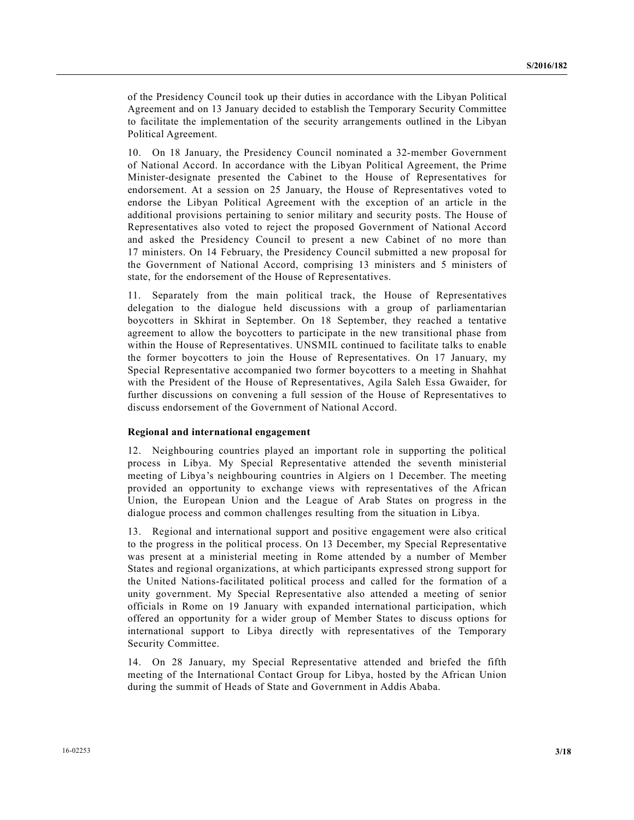S/2016/182<br>
of the Presidency Council took up their duties in accordance with the Libyan Political<br>
Agreement and on 13 January decided to establish the Temporary Security Committee<br>
to facilitate the implementation of the S/2016/182<br>
Agreement and on 13 January decided to establish the Temporary Security Committee<br>
to facilitate the implementation of the security arrangements outlined in the Libyan<br>
Political Agreement.<br>
10. On 18 January, S/2016/182<br>
S/2016/182<br>
of the Presidency Council took up their duties in accordance with the Libyan Political<br>
Agreement and on 13 January decided to establish the Temporary Security Committee<br>
to facilitate the implement

of the Presidency Council took up their duties in accordance with the Libyan Political Agreement and on 13 January decided to establish the Temporary Security Committee<br>to facilitate the implementation of the security arra 5/2016/182<br>
10. On the Presidency Council took up their duties in accordance with the Libyan Political<br>
Agreement and on 13 January decided to establish the Temporary Security Committee<br>
10. On 18 January, the Presidency C S/2016/182<br>
of the Presidency Council took up their duties in accordance with the Libyan Political<br>
Agreement and on 13 January decided to establish the Temporary Security Committee<br>
to facilitate the implementation of the S72016/182<br>S72016/182<br>S72016/182<br>Agreement and on 13 January decided to establish the Temporary Security Committee<br>to facilitate the implementation of the security arrangements outlined in the Libyan<br>Political Agreement.<br>1 S72016/182<br>S72016/182<br>S72016/182<br>Agreement and on 13 January decided to establish the Temporary Security Committee<br>to facilitate the implementation of the security arrangements outlined in the Libyan<br>Political Agreement.<br>1 S72016/182<br>S72016/182<br>S72016/182<br>Agreement and on 13 January decided to establish the Temporary Security Committee<br>to facilitate the implementation of the security arrangements outlined in the Libyan<br>Political Agreement.<br>T **S22016/182**<br> **S22016/182**<br> **Configured Configured SC** and the simulation of the Emporary Security Committee<br> **Configured Agreement**.<br> **Configured Agreement**.<br> **Configured Agreement**.<br> **Political Agreement.**<br> **Political Ag** S72016/182<br>
S72016/182<br>
S72016/182<br>
Agreement and on 13 January decided to establish the Emponary Security committee<br>
Agreement and on 13 January decided to establish the Emponary Security in<br>
Dolinical Agreement.<br>
To Conc **S2016/182**<br> **S2016/182**<br> **S2016/182**<br> **Agreement and on 13 January decided to establish the Temporary Security Committee<br>
to facilitate the implementation of the security arrangements outlined in the Libyan<br>
Political Ag** 57 ministers. On 14 February, the Presidency Council submitted a present and on 13 January decided to stabilist the Temperary Security Committee to facilitate the implementation of the security arengements outlied in the L S2016/182<br>
Soften Presidency Council took up their duties in accordance with the Libyan Political<br>
Agreement and on 13 January decided to establish the Temperary Security Committee<br>
to fincilitate the implementation of the state of the Presidency Council took up their duties in accordance with the Libyan Political Agreement and on 13 January decided to establish the Emporary Security Committee to forelitate the implementation of the security S2016/182<br>S2016/182<br>S2016/182<br>Separate and on 13 January decided to establish the Temporary Security Committee<br>of ficilities the implementation of the security arrangements outlined in the Libyan<br>Dolitical Ageement.<br>10. On **S2016/182**<br> **S2016/182**<br> **Agreement and on 13 January decided to establish the Temperary Security Comittee<br>
to facilitate the implementation of the security arrangements outlined in the Libyan<br>
Political Agreement.<br>
To C** SCO16/182<br>SCO16/182<br>SCO16/182<br>Agreement and on 13 January decided to establish the Temperary Security Committee<br>to facilitate the implementation of the security arrangements outlined in the Libyan<br>Political Agreement.<br>10. SZ016182<br>SZ016182<br>Agreement and on 13 Junuary devided to establish the Temporary Security Committee<br>Its particular to find it 3 Junuary devided to stablish the Temporary Security Committee<br>Its finding Agreement.<br>To find t of the Presidency Council took up their duties in accordance with the Libyan Political Ageeement and on 13 January decided to establish the Temperary Security Committee to faciliture the implementation of the security arra of the Presidency Council took up their duties in accordance with the Libyan Political Agreement and on 13 January decided to establish the Temperary Scentity Committee<br>For facilitate the implementation of the security arr Agreement and on 13 January decided to establish the Temporary Security Committee<br>to fincilitate the implementation of the security arrangements outlined in the Libyan<br>Political Agreement.<br>10. On 18 January, the Presidency to facilitate the implementation of the security arrangements outlined in the Libyan<br>Political Agreement.<br>To Chai also and the President of Whister 10. On 18 January, the President<br>of Chainel Accord II accordance with the Political Agreement.<br>
10. On 18 January, the Presidency Council nominated a 32-member Government<br>
16 National Accord. In accordance with the Libyan Political Agreement, the Prime<br>
Minister-designate presented the Cabinet t 10. On 18 January, the Presidency Council nominated a 32-member Government of National Accord. In accordance with the Libyan Political Agreement, the Prime Minister-designate presented the Cabinet to the House of Represent

of National Accord. In accordance with the Lubyan Political Agreement, the Prince of Representatives for Minister-designate presentation 25 January, the House of Representatives for endorsement. At a session on 25 January, endorsement. At a session on 25 January, the House of Representatives voted to inductional provisions pertraining to senior military and security posts. The House of Representatives also voted to rejoint of the revolutiona endorse the Libyan Political Agreement<sup>7</sup> with the exception of an article in the Regresentatives abso voted to reject the proposed Government of National Accord Representatives also voted to reject the proposed Government additional provisions pertaining to senior military and security posts. The House of<br>Representatives also voted to rejoine the proposed Government of National Aecord<br>and asked the Presidency Council to present a new Cabine Representatives also voted to reject the proposed Government of National Accord<br>and asked the Presidency Council to present a new Cabinet of no more than<br>17 ministers. On 14 February, the Presidency Council submitted a new and asked the Presidency Council to present a new Cabinet of no more than 17 ministers, On 14 February, the Presidency Council submitted a new proposal for the Covernment of National Accord, comprising 13 ministers and 5 m 17 ministers. On 14 February, the Presidency Council submitted a new proposal for<br>the Covernment of National Accord, comprising 13 ministers and 5 ministers of<br>state, for the endorsement of the flouse of Representatives.<br> the Government of National Accord, compiring 13 ministers and 5 ministers of<br>state, for the endorsement of the House of Representatives.<br>11. Separately from the main political track, the House of Representatives<br>delegation state, for the endorsement of the House of Representatives.<br>
11. Separately from the main political track, the House of Representatives<br>
delegation to the dialogue held discussions with a group of parliamentarian<br>
boycotte 11. Separately from the main political track, the House of Representatives<br>deogration to the dialogue held disseussions with a group of partiamentarian<br>apprement to allow the byototers to participate in the new transitiona delegation to the dialogue held discussions with a group of parliamentarian boycotters in Skhirat in September. On 18 September, they reached a tentative sugreement to allow the boycotters to participate in the new transit

hoycotters in Skhirat in September. On 18 September, they reached a tentative agreement to allow the boycotters to participate in the new transitional phase from<br>within the House of Representatives. UNSMIL continued to fac agreement to allow the boycotters to participate in the new transitional phase from<br>this the theore of Representatives. UNSML continued to ficilities tells to enable<br>the former boycotters to join the House of Representativ within the House of Representatives. UNSM1L continued to facilitate talks to enable<br>the former boycotters to join the House of Representatives. On 17 January, my<br>Special Representative accompanied two former boycotters to the former boycotters to join the House of Representatives. On 17 January, my<br>Special Representative ascompanied two former boycotters to a meeting in Shahat<br>with the President of the House of Representatives, Agila Saleh Special Representative accompanied two former boycotters to a meeting in Shahhat with the President of the House of Representatives, Agita Saleth Essa Gwaider, for structure distances and convening a full seasion of the Ho with the President of the House of Representatives, Agila Saleh Essa Gwaider, for<br>further discussions on convening a full session of the House of Representatives to<br>discuss endorsement of the Government of National Accord. littler discussions on convening a littl session of the House of Representatives to<br>discuss endorsement of the Government of National Accord.<br>
Regional and international engagement<br>
12. Neighbouring countries played an imp discuss endorisement of the Government of National Accord.<br> **Regional and international engagement**<br>
T2. Neighbouring countries played an important role in supporting the political<br>
Theoretics are the international Contact **Regional and international engagement**<br>
12. Neighbouring countries played an important role in supporting the political<br>
process in Libya. My Special Representative attended the seventh ministerial<br>
meeting of Libya's nei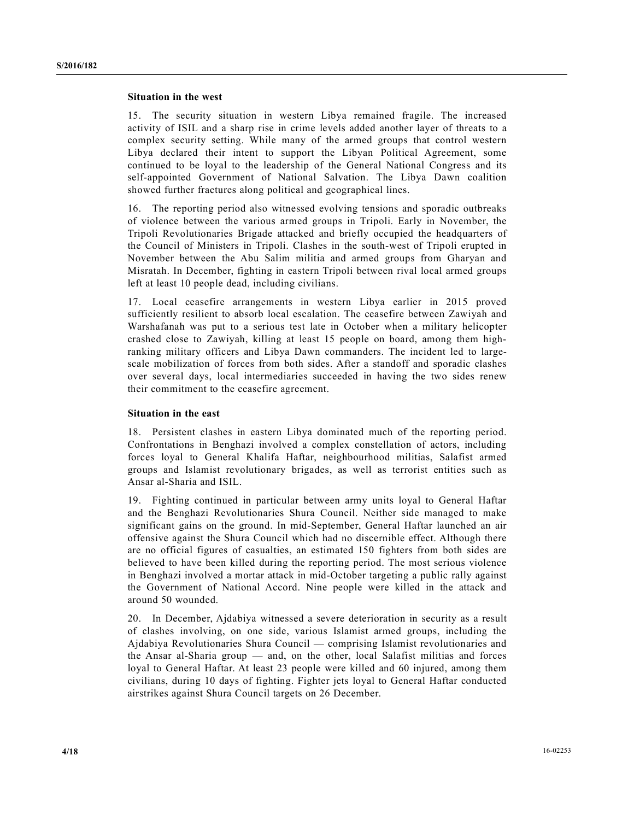Situation in the west<br>
15. The security situation in western Libya remained fragile. The increased<br>
activity of ISIL and a sharp rise in crime levels added another layer of threats to a<br>
complex security setting. While man Situation in the west<br>
15. The security situation in western Libya remained fragile. The increased<br>
activity of ISIL and a sharp rise in crime levels added another layer of threats to a<br>
complex security setting. While man **Situation in the west**<br>15. The security situation in western Libya remained fragile. The increased<br>activity of ISIL and a sharp rise in crime levels added another layer of threats to a<br>complex security setting. While many **Situation in the west**<br>15. The security situation in western Libya remained fragile. The increased<br>activity of ISIL and a sharp rise in crime levels added another layer of threats to a<br>complex security setting. While many Situation in the west<br>
15. The security situation in western Libya remained fragile. The increased<br>
activity of ISIL and a sharp rise in crime levels added another layer of threats to a<br>
complex security setting. While man **Situation in the west**<br>15. The security situation in western Libya remained fragile. The increased<br>16. The security setting a sharp rise in crime levels added another layer of threats to a<br>20. Continued to be loyal to the **Situation in the west**<br>15. The security situation in western Libya remained fragile. The increased<br>activity of ISIL and a sharp rise in crime levels added another layer of threats to a<br>complex security setting. While many Situation in the west<br>
15. The security situation in western Libya remained fragile. The increased<br>
activity of ISIL and a sharp rise in crime levels added another layer of threats to a<br>
complex security setting. While man **Situation in the west**<br>
15. The security situation in western Libya remained fragile. The increased<br>
activity of ISIL and a sharp rise in crime levels added another layer of threats to a<br>
complex security setting. While m

**Situation in the west**<br>
15. The security situation in western Libya remained fragile. The increased<br>
accivity of ISIL and a sharp rise in crime levels added another layer of threats to a<br>
complex security setting. While m **Situation in the west**<br>
15. The security situation in western Libya remained fragile. The increased<br>
activity of ISIL and a sharp rise in crime levels added another layer of the<br>
11-bya declared their intent to support th **Situation in the west**<br>15. The security situation in western Libya remained fragile. The increased<br>activity of ISIL and a sharp rise in crime levels added another layer of theats to a<br>complex security setting. While many **Situation in the west**<br>
15. The socurity situation in western Libya remained fragile. The increased<br>
16. The socurity setting. While many of the armed groups that control western<br>
Libya declared their initia to support t **Situation in the west**<br>
15. The security situation in western Libya remained fragile. The increased<br>
activity of ISIL and a sharp rise in crime levels added another layer of threats to a<br>
complex security setting. While Situation in the west<br>
15. The security situation in western Libya remained fragile. The increased<br>
activity of ISIL and a sharp rise in crime levels added another layer of threats to<br>
complex security setting. While many Situation in the west<br>
15. The security situation in western Libya remained fragite. The increased<br>
accomplex security setting. While many of the armed groups had control vestern<br>
Libya declared their intert to support the

**Situation in the west**<br>
15. The security situation in western Libya remained fragile. The increased<br>
activity of ISIL and a sharp rise in crime levels added another layer of threats to a<br>
continued to be loyal to the lar **Situation in the west**<br>
15. The security situation in western Libya remained fragile. The increased a<br>
accionyieve is SIL and a sharp rise in crime levels added another layer of threats to a<br>
accomplex security setting. Situation in the west<br>
15. The security situation in western Libya remained fragile. The increased<br>
activity of ISIL and a sharp rise in crime levels added another layer of threats to a<br>
complex security setting. While man **Situation in the west**<br>
15. The security situation in western Libya remained fragile. The increased accomplex security setting. While many of the smred groups that control western complex security setting. While many of **Situation in the west**<br>
15. The security situation in western Libya remained fragile. The increased<br>
necitivity of ISIL and a sharp rise in crime levels added another layer of threats to a<br>
complex security setting. Whil 15. The security situation in western Libya remained fragite. The increased each<br>complex security setting. While many of the armed geology day control vestern<br>Libya declared their initeri to support the Libya Political Agr activity of ISIL and a sharp rise in crime levels added another layer of threats to a<br>complex security esting. While many of the armed groups talt conrel care<br>Libya declared their intent to support the Libyan Political Agr Libya declared their intent to support the Libyan Political Agreement, some<br>continued to be loyel to the leadership of the General National Congress and its<br>self-appointed Government of National Salvation. The Libya Dawn c continued to be loyal to the leadership of the General National Congress and its<br>self-appointed Government of National Salvation. The Libya Dawn coalition<br>showed further fractures along political and geographical lines.<br>16 sell-apponted Government of National Salvation. The Libya Dawn coaltion<br>showed further fractures along political and geographical lines.<br>16. The reporting period also witnessed evolving tensions and sporadic outbreak; he<br>T showed lurther Irasures along political and geographieal innes.<br>
16. The reporting period also witnessed evolving tensions and sporalic outbreaks<br>
of violence between the various armed geoups in Tripoli. Early in November, 16. The reporting period also witnessed evolving tensions and sporadic outbreaks of violence between the various small propar in Tripoli. Early in November, the Tripoli Revolutionaries in Tripoli. Clushes in the all and ar of violence between the various armed groups in Tripoli. Early in November, the Tripoli Revolutionariss Brigade attacked and briefly occupied the headquarters of the Council of Ministers in Tripoli. Clashes in the south-we Tripoli Revolutionaries Brigade utaketsd und briefly occupied the beadquarters of Ministers in Tripoli. Clashes in the south-west of Tripoli erupted in November between the Abu Salim militia and armed groups from Gharyan a the Council of Ministers in Irppile. Clashes in the south-west of Irppoli erupted in<br>November between the Abu Salim militia and armed groups from Gharyan and<br>Misratah. In December, figting in eastern Tripoli between rival

November between the Abu Salim militia and armcd groups from Gilaryn and<br>Misratah. In December, fighting in eastern Tripoli between rival local armed groups<br>17. Local ceasefire arrangements in western. Libya earlier in 201 Mistatala. In December, figtting in eststern linpin teltworen rival local armed groups<br>
Merik at least 10 people dead, including civilians.<br>
17. Local ecasefire arrangements in western Libya carlier in 2015 proved<br>
Warshaf lell at least 10 people dead, meluding evalians.<br>
17. Local creassefric turnagements in wester in 2015 proved<br>
37. Local creassefric turnagements in wester late in October when a military helicopter<br>
warshafanah was put to 17. Local ceasefire arrangements in western Libya earlier in 2015 proved<br>sufficiently resilient to absorb local escalation. The ceasefire between Zawiyah and<br>Warshafanah was put to a serious test late in October when a mil sufficiently resilient to absorb local escalation. The ceasefire between Zawiyah and<br>Warshafanah was put to a serious test late in October when a military helicopler<br>ranking military defines and Libya Dawn commanders. The Warshafanah was put to a serious test late in October when a military helicopter-<br>terached close to Zawiyah, killing at least 15 people on board, among them high-<br>peralting military officers and Libya Dawn commanders. The crashed close to Zawiyah, killing at least 15 people on board, among them high-<br>ranking military officers and Libya Dawn commanders. The incident led to large-<br>scale mobilization of forces from both sides. After a standoff ranking military elibrers and Librya Bawn commanders. The model tel of large-<br>scale mobilization of forces from both sides. After a standoff and sporadic classe<br>their commitment to the cense<br>fire agreement.<br>Situation in th scale mobilization of lorots from both sides. After a standoti and sporads cover several days, local intermediaries succeeded in having the two sides renew<br>their commitment to the ceasefire agreement.<br>
Situation in the eas over several days, local intermediatines succeeded in having the two sides renew<br>
Situation in the east<br>
18. Persistent clashes in eastern Libya dominated much of the reporting period.<br>
Situation in the east<br>
18. Persisten their commitment to the ceaseftre agreement.<br>
Situation in the east<br>
18. Persistent clashes in eastern Libya dominated much of the reporting period.<br>
Confrontations in Benghazi involved a complex constellation of actors, i **Situation in the east**<br>
18. Persistent clashes in eastern Libya dominated much of the reporting period.<br>
Confrontations in Benghazi involved a complex constellation of actors, including<br>
forces loyal to General Khalifa Ha Situation in the east<br>
18. Persistent clashes in eastern Libya dominated much of the reporting period.<br>
Confrontations in Benghazi involved a complex constellation of actors, including<br>
forces loyal to General Khulia Hafta 18. Persistent clashes in eastern Libya dominated much of the reporting period.<br>Confrontations in Benghazi involved a complex constellation of easters, including<br>forces loyal to General Khalira Haftar, neighbourhood militi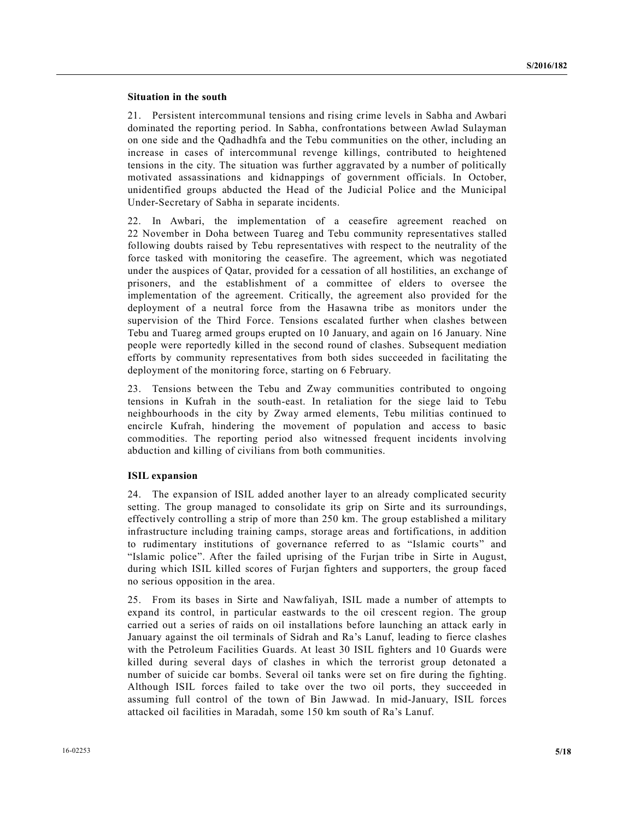Situation in the south<br>
21. Persistent intercommunal tensions and rising crime levels in Sabha and Awbari<br>
21. Persistent intercommunal tensions and rising crime levels in Sabha and Awbari<br>
dominated the reporting period. Situation in the south<br>
21. Persistent intercommunal tensions and rising crime levels in Sabha and Awbari<br>
21. Persistent intercommunal tensions and rising crime levels in Sabha and Awbari<br>
increase in cases of intercommun Situation in the south<br>
21. Persistent intercommunal tensions and rising crime levels in Sabha and Awbari<br>
20. Persistent intercommunal tensions and rising crime levels in Sabha and Awbari<br>
21. Persistent intercommunal rev Situation in the south<br>
21. Persistent intercommunal tensions and rising crime levels in Sabha and Awbari<br>
21. Persistent intercommunal tensions and rising crime levels in Sabha and Awbari<br>
21. Persistent the Qadhadhfa and Situation in the south<br>
21. Persistent intercommunal tensions and rising crime levels in Sabha and Awbari<br>
21. Persistent intercommunal tensions and rising crime levels in Sabha and Awbari<br>
21. Persistent increase of inter Situation in the south<br>
21. Persistent intercommunal tensions and rising crime levels in Sabha and Awbari<br>
21. Persistent intercommunal tensions and rising crime levels in Sabha and Awbari<br>
21. Dersistent intercommunal and Situation in the south<br>
21. Persistent intercommunal tensions and rising crime levels in Sabha and Awbari<br>
20. Persistent intercommunal tensions and rising crime levels in Sabha and Awbari<br>
21. Persistent intercace in case Situation in the south<br>
21. Persistent intercommunal tensions and rising crime levels in Sabha and Awbari<br>
dominated the reporting period. In Sabha, confrontations between Awlad Sulayman<br>
on one side and the Qadhadhfa and Situation in the south<br>
Situation in the south<br>
21. Persistent intercommunal tensions and rising crime levels in Sabha and Awbari<br>
dominated the reporting period. In Sabha, confrontations between Awlad Sulayman<br>
on one sid **Situation in the south**<br> **Situation in the south**<br>
21. Persistent intercommunal tensions and rising crime levels in Sabha and Awbari<br>
2011 Christent intercommunal tensions, confirmation between Awiad Sudayman<br>
on one side **Situation in the south**<br>
22. Persistent intercommunal tensions and rising crime levels in Sabha and Awbari<br>
21. Persistent intercommunal tensions and rising crime levels in Sabha and Awbari<br>
21. Persistent intercommunal

**Situation in the south**<br>
21. Persistent intercommunal tensions and rising crime levels in Sabha and Awbari<br>
21. Persistent intercommunal tensions, confrontations between Awlad Sulayman<br>
adominated the reporting period. In **Situation in the south**<br> **Situation in the south**<br>
21. Persistent intercommunal tensions and rising crime levels in Sabha and Awbari<br>
20. Hominated the reporting period. In Sabha, confrontations between Awlad Sulayman<br>
no Situation in the south<br>
Situation in the south<br>
21, Presistent intercommunal tensions and rising erime levels in Sabha and Awbari<br>
21, Porisistent intercommunal reventor of a Catar and the Catar, production<br>
increase in ca Situation in the south<br>
Situation in the south<br>
21. Persistent intercommunal tensions and rising crime levels in Sabha and Awbari<br>
dominated the reporting period. In Sabha, confortnations between Awlad Sulayman<br>
on one sid **Situation in the south**<br> **Situation in the south**<br>
21. Persistent intercommunal tensions and rising crime levels in Sabha and Awbari<br>
21. Persistent intercommunal reasons and rising crime levels in Sabha and Awbari<br>
alomm Situation in the south<br>
Situation in the reporting period. In Sabha, confrontations between Awlied Subayari<br>
commanded the reporting period. In Sabha, confrontations between Awlied Subayari<br>
on one side and the Codmandia f Situation in the south<br>
21. Persistent intercommunal tensions and rising crime levels in Sabha and Awbari<br>
21. Persistent intercommunal cusions and the Teba communities on the other, including an<br>
inners are and the Qadin SCIN SIC SCINCRISES<br>
21. Persistent intercommunal tensions and rising crime levels in Sabha and Awbari<br>
21. Persistent intercommunal reasons in darba, confrontations between Awlad Sulayman<br>
on one side and the Qadhadhfa an **Situation in the south**<br>21. Persistent intercommunal tensions and rising crime levels in Sabha and Awbari<br>20. Persistent intercommunal consideration between Awlad Subayan<br>non one side and the Cyadinalia and the Tebu comm Situation in the south<br>
21. Persistent intercommunal tensions and rising crime levels in Sabha and Awbari<br>
20. Persistent intercommunal tensions and rising crime levels in Sabha and Awbari<br>
dominated the reporting period. 21. Persistent intercommunal tensions and rising crime levels in Sabha and Awbari<br>dominated the reporting period. In Sabha, conforontations between Awlad Sulayman<br>on one side and the Qadhadhfa and the Tebu communities on t dominated the reporting period. In Sabha, confrontations between Awlad Sulayman<br>on one side and the Qadhudha and the Tebu communities on the other, including an<br>increase in cases of intercommunal revenge killings, contribu on one side and the Qadhadhfa and the Tebu communities on the other, including an increase of intercommunal revenge killings, contributed to heightened tensions in the city. The situation was fiturent aggravated by a numbe increase in cases of intercommunal revenge killings, contributed to heightened<br>tensions in the city. The situation was further aggrewated by a number of politically<br>motivated assassinations and kidnapings of government off tensions in the city. The situation was further aggravated by a number of politically<br>moidentrifed areassimations and kidinappings of government officials. In October,<br>midentified groups abducted the Head of the Judicial P motivated assassinations and kidnappings of government officials. In October, unidentified groups abducted the Head of the Judicial Police and the Municipal Under-Secretary of Sabha in separate incidents.<br>
22. In Awbari, t unidentified groups abducted the Head of the Judicial Police and the Municipal<br>Under-Secretary of Sabha in separate incidents.<br>
22. In Awbari, the implementation of a ceasefire agreement reached on<br>
22. In Awbari, the impl 22. In Awbari, the implementation of a ceasefire agreement reached<br>22 November in Doha between Tuareg and Tebu community representatives sta<br>60lowing doubts raised by Tebu representatives with respect to the neutrality of<br> 22. November in Doba between Tuareg and Tebu community representatives stalled following doubls raised by Tolo representatives with respect to the neutrality of the constrained the another foresents of Quarr, provided for following doubts raised by Tebu representatives with respect to the neutrality of the order tasked with monitoring the ceassfire. The agreement, which was negotiated order the auspices of Qatar, provided for a censtation o force tasked with monitoring the ceasefire. The agreement, which was negotiated under the auspices of Qatar, provided for a cossation of all hostillites, an exchange of prisoners, and the establishment of a committee of el under the auspices of Qatar, provided for a cessation of all hostilities, an exchange of<br>prisoners, und the establishment of a committee of elders to oversee the<br>deployment of a neutral force from the Hasawan tribe store o prisoners, and the establishment of a committee of elders io oversee the implementation of the agreement soc provided for the expectement society deployment of a neutral force. Tensions escalated further when class between

implementation of the agreement. Critically, the agreement also provided for the deployment of a neutral force from the Hassawan tribe as monitors under the supervision of the Thid Torec. Tensions escalated further when cl deployment of a neutral force from the Hasawna tribe as monitors under the supportion of the Third Frore. Tensions essellated forther when classes between February. Nine people were reportedly killed in the second round of supervision of the Third Force. Tensions escalated further when clashes between<br>reporterion and Tuareg amned groups eropted on 10 January, and again on 16 January. Nine<br>reported were reportedly killed in the second round o Tebu and luarge armed groups required on 10 January, and again on 16 January. Nine and David the firsts by community representatives from both sides acceceded in facilitating the efforts by community representatives from b popel were reportedly killed in the second round of clashes. Subsequent meciation<br>people were reports for the monitoring force, starting on 6 February.<br>
This contributed to ongoing<br>
tensions in Kufrah in the sequal-cast In

erlients by community representatives from both sides succeeded in lacilitating the densions het Kuran burfah in the south-east. In realitation for the siege laid to Tebu teristions in Kuran burfah in the south-east. In re deployment of the monitoring loree, starting on 6 February.<br>
23. Tensions hetween the Tebu and Zway communities contributed to ongoing<br>
ensions in Kufrah in the city by Zway armed elements, Tebu militias continued to<br>
neig 23. Tensions between the Tebu and Zway communities contributed to ongoing<br>ensions in Kufrah in the south-east. In relatiations for the sizege laid to Tebu<br>enciglibourhoods in the sivily by Zway armed elements, Tebu militia tensions in Kufrah in the south-east. In retaliation for the siege laid to Tebu<br>encircle bottom in the city by Zway armed elements, Tebu militas consinued to<br>encircle Kufrah, hindering the movement of population and access neighbourhoods in the city by Zway armed elements. Tebu militias continued to<br>commodities. Eurin, hindering the movement of population and sacess to basic<br>commodities. The reporting period also witnessed frequent incidents encircle Kufrah, hindering the movement of population and access to basic<br>commodities. The reporting period daso withessed frequent incidents involving<br>abduction and killing of civilians from both communities.<br>
ISIL expans commodities. The reporting period also witnessed frequent incidents involving<br>abduction and killing of civilians from both communities.<br>1811. Compassion of ISIL added another layer to an already complicated security<br>settin abduction and killing of civilians from both communities.<br> **ISIL. expansion**<br> **241.** The expansion of ISIL added another layer to an already complicated security<br>
24. The expansion of ISIL added another layer to an already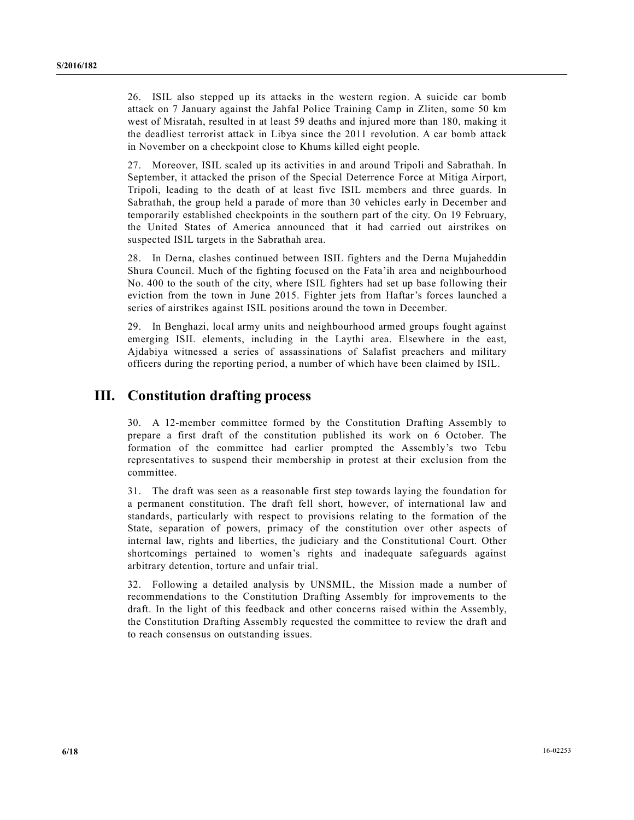26. ISIL also stepped up its attacks in the western region. A suicide car bomb<br>attack on 7 January against the Jahfal Police Training Camp in Zliten, some 50 km<br>west of Misratah, resulted in at least 59 deaths and injured 26. ISIL also stepped up its attacks in the western region. A suicide car bomb<br>attack on 7 January against the Jahfal Police Training Camp in Zliten, some 50 km<br>west of Misratah, resulted in at least 59 deaths and injured 26. ISIL also stepped up its attacks in the western region. A suicide car bomb<br>attack on 7 January against the Jahfal Police Training Camp in Zliten, some 50 km<br>west of Misratah, resulted in at least 59 deaths and injured 26. ISIL also stepped up its attacks in the western region. A suicide car bomb<br>attack on 7 January against the Jahfal Police Training Camp in Zliten, some 50 km<br>west of Misratah, resulted in at least 59 deaths and injured 26. ISIL also stepped up its attacks in the western region. A suicide car bomb<br>attack on 7 January against the Jahfal Police Training Camp in Zliten, some 50 km<br>west of Misratah, resulted in at least 59 deaths and injured

26. ISIL also stepped up its attacks in the western region. A suicide car bomb<br>attack on 7 January against the Jahfal Police Training Camp in Zliten, some 50 km<br>west of Misratah, resulted in at least 59 deaths and injured 26. ISIL also stepped up its attacks in the western region. A suicide car bomb<br>attack on 7 January against the Jahfal Police Training Camp in Zliten, some 50 km<br>west of Misratah, resulted in at least 59 deaths and injured 26. ISIL also stepped up its attacks in the western region. A suicide car bomb<br>attack on 7 January against the Jahfal Police Training Camp in Zliten, some 50 km<br>west of Misratah, resulted in at least 59 deaths and injured 26. ISIL also stepped up its attacks in the western region. A suicide car bomb<br>attack on 7 January against the Jahfal Police Training Camp in Zliten, some 50 km<br>west of Misratah, resulted in at least 59 deaths and injured 26. ISIL also stepped up its attacks in the western region. A suicide car bomb<br>attack on 7 January against the Jahfal Police Training Camp in Zliten, some 50 km<br>west of Misratah, resulted in at least 59 deaths and injured 26. ISIL also stepped up its attacks in the western region. A suicide car bomb<br>states on 7 January against the Jahril Policie Training Camp in Zliten, some 50 km<br>west of Misratah, resulted in at least 59 deaths and injured 26. ISIL also stepped up its attacks in the western region. A suicide car bomb attack on 7 January against the Jahfal Police Training Camp in Zliten, some 50 km<br>studes on This ratured in a least 59 deaths and injured more 26. ISIL also stepped up its attacks in the western region. A suicide car bomb<br>statek on 7 January against the Jahfal Police Training Cann in Zliten, some 50 km<br>west of Misratha, resulted in at least 59 deaths and injured 26. ISIL also stepped up its attacks in the western region. A suicide car bomb<br>attack on 7 January agains the Jahfal Police Training Camp in Zlitien, some 50 km<br>west of Misratia, resulted in at least 49 details and nijured 26. ISIL also stepped up its attacks in the western region. A suicide car bomb<br>states on 7 January against the Jahral Police Teriaing Camp in Zliten, some 50 km<br>west of Misratah, resulted in at least 59 deaths and injured 26. ISIL also stepped up its attacks in the western region. A suicide car bomb<br>attack on 7 January against the Jahfal Police Training Camp in Zliten, some 50 km<br>west of Mirstath, resulted in at least 59 details and nijured 26. ISIL also stepped up its attacks in the western region. A suicide car bomb<br>states on 7 January against the Jahral Police Training Canp in Zlitica, some 50 km<br>sets of Misratah, resulted in at least 59 deaths and injured 26. ISIL also stepped up its attacks in the western region. A suicide car bomb<br>states on 7 January against the Jahral Police Training Carn in Zliten, some 50 km<br>west of Misratah, resulted in at least 59 deaths and injured 26. ISIL also stepped up its attacks in the western region. A suicide car bomb<br>tatack on 7 January against the Jahial Police Training Camp in Zliten, some 50 km<br>west of Misratah, resulted in at lesst 459 destabs and injure 26. ISIL also stepped up its attacks in the western region. A suicide car bomb<br>sursted on 7 January against the Jahral Police Teraining Camp in Zliken, some 50 km<br>west of Misratah, resulted in at least 59 deaths and injure 26. ISIL also stepped up its slitesks in the western region. A suicide ear bound<br>tatack on 7 January agains the Jahfal Police Training Camp in Zliten, some 50 km<br>west of Misratah, resulted in at lesst 39 details and injure 27. Moreover, ISIL scaled up its activities in and around Tripoli and Sabrathah. In<br>Scriptsibne, it attacked the prison of the Special Determente Force at Mitiga Airport,<br>Tripoli, leading to the death of at least five ISIL 27. Motocout, issue sawe of the deal of the constitution and about a since and the constitution, the deal of the constitution of the constitution published the constitution but the constitution published constitution but t Scheme that and the proportion of the Special Determined to the committee and the properties and the guards. In Scheme the particular the growth in the common streaments of the common interest and the prompted the prompted

rippin, teaung to uncertainty enterpret in the solution of the city. On 19 February, in the suspending established checkpoins in the soushern part of the city. On 19 February, the United States of America announced that it

## III. Constitution drafting process

committee.

the United States of America amnounced that it had carried out aristrikes on<br>suspected ISIL targets in the Sabrathah area.<br>28. In Derna, clashes continued between ISIL fighters and the Derna Mujaheddin<br>Shura Council: Much suspected ISIL targets in the Sabrathah area.<br>
28. In Derna, classles continued between ISIL fighters and the Derna Mujaheddin<br>
28. In Derna, classles continued between ISIL fighters had at up base following their<br>
No. 400 28. In Derna, clashes continued between ISII. fighters and the Derna Mujaheddin<br>Shora Council: Much of the fighting focosed on the Fatai bireas and neighbourhood<br>No. 400 to the south of the city, where ISIL fighters liad s 26. In Dexins, cassness continue of the clyster ISI. Eighters had the Dexis and the Desire is the constitution from the toth in the constitution from the toth in the constitution from the toth in December ISIL. Eighters ha Show the model of the committer of the properties and a more and the state and the state and the state and the state and the series is the state and the state state state states is the state state state state state states so, we or us sound the user, where is the present in the two mindings and the series of intersects in the two mindings and is the present of the series of intersects in the series of intersects and the series of intersects evicuo non the covar nonate correct to provisions related to responsible the detention between the constitutes against ISIL positions around the town in December.<br>
29. In Benghazi, local army units and neighbourhood armed 29. In Benghazi, local army units and neighbourhood armed groups fought against<br>emerging ISIL elements, including in the Laythi area. Elsewhere in the east,<br>Ajdabiya witnessed a series of assassinations of Salafist preache 27. In Denguara, local wary onto san regulator those memory propy sought agains a series of issuessinations of Stalafist presenters and military Ajadabya witnessed a series of sassinations of Stalafist presenters and milit extrapted to the concerns in the light of the light of the concerns raised a series of sasasinations of Salafist preaches and military officers during the reporting period, a number of which have been claimed by ISIL.<br> **Co** sylaavya wuncessed a search of assessmeation of valuation Drafting the reporting period, a number of which have been claimed by ISIL.<br> **Constitution drafting process**<br>
30. A 12-member committee formed by the Constitution D **Constitution drafting process**<br>30. A 12-member committee formed by the Constitution Drafting Assembly to<br>prepare a first draft of the constitution published its work on 6 October. The<br>formation of the committee had earlie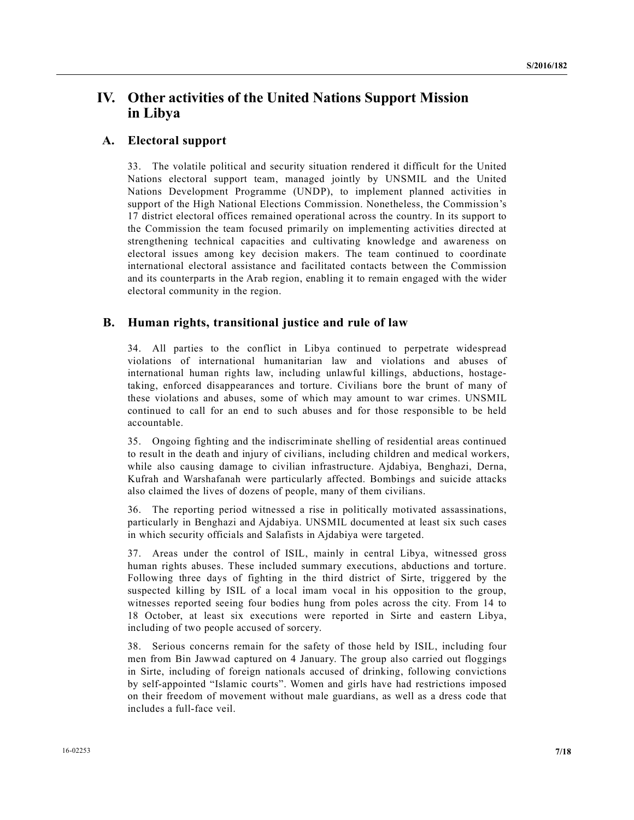## IV. Other activities of the United Nations Support Mission in Libya

### A. Electoral support

S7016/182<br>
33. The volatile political and security situation rendered it difficult for the United<br>
33. The volatile political and security situation rendered it difficult for the United<br>
Nations electoral support team, man S2006/182<br> **Other activities of the United Nations Support Mission**<br> **in Libya**<br> **Electoral support**<br> **Electoral support**<br> **33.** The volatile political and security situation rendered it difficult for the United<br>
Nations e S72016/182<br> **Other activities of the United Nations Support Mission**<br> **in Libya**<br> **Electoral support**<br> **Electoral support**<br>
33. The volatile political and security situation rendered it difficult for the United<br>
Nations el S2016/182<br>
S2016/182<br> **Other activities of the United Nations Support Mission**<br> **in Libya**<br>
Electoral support team, manged jointly by UNSMIL and the United<br>
Nations electoral support team, manged jointly by UNSMIL and the S2016/182<br>
17 **Other activities of the United Nations Support Mission**<br> **in Libya**<br> **Electoral support**<br> **Electoral support**<br> **Electoral support**<br> **Example 18**<br> **Particulate position**<br> **Particulate and security situation r** SPACT SPACT SPACT SPACT TO SPACT THE COMMISSION INTEGRAL SPACT AND THE COMMISSION IN Liby a Electoral support team, managed jointly by UNSMIL and the United Nations electoral support team, managed jointly by UNSMIL and the strengthening **strengthening** of the United Nations Support Mission<br>in Libya<br>Electoral support<br>Electoral support<br>33. The volatile political and security situation rendered it difficult for the United<br>Nations electoral supp Scotoral in the Scotoral issues among the United Nations Support Mission<br>
in Libya<br>
Electoral support<br>
33. The volatile political and security situation rendered it difficult for the United<br>
Nations electoral support feam, **S2016/182**<br> **S2016/182**<br> **S2016/182**<br> **Chectoral support**<br> **Chectoral support**<br> **Chectoral support**<br> **Chectoral support**<br> **Chectoral assistance and security situation readered it difficult for the United Nations between SPORE SPONSE SPONSE SPONSE SPONSE SPONSE SPONSE SPONSE SPONSE SPONSE SPONSE SPONSE SPONSE SPONSE SPONSE SPONSE SPONSE SPONSE SPONSE SPONSE SPONSE SPONSE SPONSE ARE VIDEOS SPONSE ARE VIDEOS SPONSED and the United Spot seri SEALL SEALL SEALL SEALL SEALL SEALL SEALL SEALL SEALL SEALL SEALL SEALL SEALL SEALL PROPORT MISSION IN LIBY ELECTORAL SUPPORT SEALL SEALL SEALL SEALL SEALL SEALL SEALL SEALL SEALL SEALL SEALL SEALL SEALL SEALL SEALL SEAL Other activities of the United Nations Support Mission**<br> **in Libya**<br> **Electoral support**<br> **33.** The volatile political and security simation rendered it difficult for the United<br>
Nations electoral support team, managed jo **Other activities of the United Nations Support Mission**<br> **in Libya**<br> **Electoral support**<br> **Electoral support**<br> **Electoral support**<br> **SATOS**<br> **Nations** electoral support team, managed jointly by UNSMIL and the United<br>
Nati **in Libya**<br> **Electoral support**<br> **33.** The volatile political and security situation rendered it difficult for the United<br>
Nations electronal support team, managed jointly by UNSMIL and the United<br>
Nations Development Prog **Example 18**<br> **Exertainal support**<br> **Example 18**<br> **Example 18**<br> **Example 18**<br> **Example 18**<br> **Example 18**<br> **Example 18**<br> **Example 18**<br> **Example 18**<br> **Example 18**<br> **Example 18**<br> **Example 18**<br> **Example 18**<br> **Example 18**<br> **Ex Electoral support**<br> **S3.** The volatile political and security situation rendered it difficult for the United<br>
Nations electroal support team, managed jointly by UNSMIL. and the United<br>
Nations Development Programme (UNDP) **Exector at support**<br>
23. The volatile political and security situation rendered it difficult for the United<br>
Nations sleetcheal support team, managed jointly by UNSMIL and the United<br>
Nations Development Programme (UNDP), Nations electoral support team, managed jointly by UNSMIL and the United<br>Nations Development Programme (UNDP), to implement planned activities in<br>support of the High National Elections Commission. Nonetheless, the Commissi Nations Development Programme (NUNP), to implement planetal eativities in<br>support of the High National Elections Commission. Nonetheless, the Commission's<br>17 district electoral offices remained operational across the count support of the High National Elections Commission. Nonetheless, the Commission is<br>17 district electoral offices remained operational across the country. In its support to<br>the Commission the team focused primarily on implem 17 district electoral offices remained operational across the country. In its support to Commission the commission fee commission care are all contriduing knowledge and awareness on atternational idectoral assistance and

### B. Human rights, transitional justice and rule of law

accountable. the Commission the team focused primarily on implementing acivities directed at estectanal issues among key decision makes. The team continued to coordinate electoral issues among key decision makes. The team continued to strengthemmig technical sasses one continuate and contributions, and waveress on<br>electoral issues among key decision makers. The team continued to coordinate<br>intermational electoral assistance and lacilitated contacts betw etectoral issues among req oscission maters. The team contents of coordinate international electoral casariance and ficilitated contacts between the Commission and its counterparts in the Arab region, enabling it to remain memational electoral assessionce and neutrinate contacts between the Commission<br>and its counterparts in the Arab region, enabling it to remain engaged with the wider<br>electoral community in the region,<br>**Human rights, transi** electoral community in the region.<br>
34. All parties to the conflict in Libya continued to perpetrate widespread<br>
34. All parties to the conflict in Libya continued to perpetrate widespread<br>
violations of international luma

**Human rights, transitional justice and rule of law**<br>34. All parties to the conflict in Libya continued to perpertate widespread<br>violations of international humanitarian law and violations and abuses of<br>international human **Human rights, transitional justice and rule of law**<br>
34. All parties to the conflict in Libya continued to perpetrate widespread<br>
violations of international humanitrian law and violations and abses of<br>
violations, hostag **FILMMAN PIGINS, ITERISMONEE AND UNITEENT OF THE USE SURFACT SURFACT SURFACT SURFACT IN THE USE CONTINUES IN CONTINUES A DOMEST CONTINUES IN A CONTINUES AND INTEGRAL INTEGRAL INTEGRAL INTEGRAL INTEGRAL INTEGRAL INTEGRAL I** 34. All parties to the conflict in Libya continued to perpetrate widespread<br>violations of international hunanitipality and violations and abuses of<br>international human rights law, including unlawful killings, abductions, h 34. All parties to the conditet in Libya continued to perpetrate wideoperate<br>violations of international humanitarian law and violations and abuses of<br>international human rights law, including unlawful kilings, abutcolins, violations of international humanitarian law and violations and abuses of<br>international human rights law, including unlawful killings, abductions, hostage-<br>taking, enforced disappearances and forture. Civilisms bore the br taking, enforced disampearances and torture. Civitians bore the brunt of many of<br>these violations and absues, some of which may amount to war erimes. UNSMIL<br>continued to call for an end to such abtuses and for those respon these violations and abuses, some of which may amount to war crimes. UNSMIL.<br>contuntable.<br>accountable.<br>accountable.<br>As congoing fighting and the indiscriminate skelling of residential areas continues<br>to result in the death continued to call for an end to such abuses and for those responsible to be held<br>accountable.<br>
accountable:<br>
as S. Ongoing fighting and the indiscriminate shelling of residential areas continued<br>
to result in the death and accountable.<br>
25. Ongoing fighting and the indiscriminate shelling of residential areas continued<br>
to result in the death and injury of civilians, including children and medical workers,<br>
while also causing danage to civil 35. Ongoing fighting and the indiscriminate shelling of residential areas continued<br>to result in the death and injury of civilians, including children and medical workers,<br>while also causing damage to civilian infrastruct 35. Ongong fughting and the máscrennnate shelling of residential areas continued by exalts in the death and minity of civilians, including children and medical workers, while also causing damage to civilian infrastructure.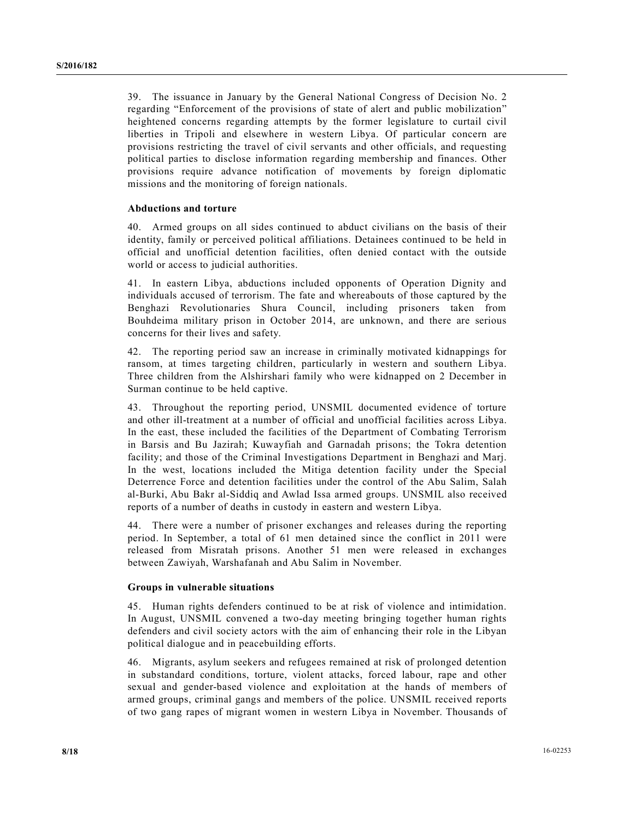39. The issuance in January by the General National Congress of Decision No. 2<br>regarding "Enforcement of the provisions of state of alert and public mobilization"<br>heightened concerns regarding attempts by the former legisl 39. The issuance in January by the General National Congress of Decision No. 2<br>regarding "Enforcement of the provisions of state of alert and public mobilization"<br>heightened concerns regarding attempts by the former legisl 39. The issuance in January by the General National Congress of Decision No. 2<br>regarding "Enforcement of the provisions of state of alert and public mobilization"<br>heightened concerns regarding attempts by the former legisl 39. The issuance in January by the General National Congress of Decision No. 2 regarding "Enforcement of the provisions of state of alert and public mobilization" heightened concerns regarding attempts by the former legisl 39. The issuance in January by the General National Congress of Decision No. 2<br>regarding "Enforcement of the provisions of state of alert and public mobilization"<br>heightened concerns regarding attempts by the former legisl 39. The issuance in January by the General National Congress of Decision No. 2<br>regarding "Enforcement of the provisions of state of alert and public mobilization"<br>heightened concerns regarding attempts by the former legisl 39. The issuance in January by the General National Congress of Decision No. 2<br>regarding "Enforcement of the provisions of state of alert and public mobilization"<br>heightened concerns regarding attempts by the former legisl 39. The issuance in January by the General National Congress of Decision No. 2<br>regarding "Enforcement of the provisions of state of alert and public mobilization"<br>helphtened concerns regarding attempts by the former legisl 39. The issuance in January by the General National Congress of Decision No. 2<br>regarding "Enforcement of the provisions of state of alert and public mobilization"<br>heightened concerns regarding attempts by the former legisl 39. The issuance in January by the General National Congress of Decision No. 2<br>regarding "Enforcement of the provisions of state of allert and public mobilization"<br>heightened concerns regarding attempts by the former legis 39. The issuance in January by the General National Congress of Decision No. 2<br>regarding "Enforcement of the provisions of state of alert and public mobilization"<br>highetheate concerns regarding attempts by the former legis 39. The issuance in January by the General National Congress of Decision No. 2<br>regarding "Enforcement of the provisions of state of alert and public mobilization"<br>heightened concerns regarding attempts by the former legisl 39. The issuance in January by the General National Congress of Decision No. 2<br>regarding "Einforcement of the provisions of state of alert and public mobilization"<br>heightened concerns regarding attempts by the former legis 39. The issuance in January by the General National Congress of Decision No. 2<br>regarding "Enforcement of the provisions of state of alert and public mobilization"<br>heightened concerns regarding attempts by the former legisl 39. The issuance in January by the General National Congress of Decision No. 2<br>regarding "Enforcement of the provisions of state of alert and public mobilization"<br>higheltened omores regarding attempts by the former legisla 39. The issuance in January by the General National Congress of Decision No. 2<br>regarding "Enforcement of the provisions of state of alert and public mobilization"<br>idevictions in Tripoli and elsewhere in western Libya. Of p 39. The issuance in January by the General National Congress of Decision No. 2<br>regarding "Enforcement of the provisions of state of alert and public mobilization"<br>helightened concerns regarding attempts by the former legis 39. The issuance in January by the General National Congress of Decision No. 2<br>regarding "Enforcement of the provisions of state of alert and public mobilization"<br>heightened concerns regarding attempts by the former legisl 39. The issuance in January by the General National Congress of Decision No. 2<br>regarding "Finforcement of the provisions of state of alert and public mobilization"<br>beightened concerns regarding utempts by the former legisl 9). The Issuance II attauraty by the General National Congress of Decustor No. 2<br>regarding "Enforcement of the provisions of state of alert and public mobilization"<br>helicitates concerns regarding atternation in western Lib regarding "Eniorcement of the provisions of state of alert and public mobilization"<br>theightened concerns regarding attempts by the former legislature to curtail civil<br>fibretics in Tripoli and elsewhere in western Libre. Of helpthend concerns regarding attenties by the former legislature to eurtal evid the<br>pliberties in Tripoli and elsewhere in western Libya. Of particular concern are<br>provisions restricting the travel of civil servants and ot

provisions restricting the travel of civil servants and other officials, and requesting<br>political parties to disclose information regarding membership and finances. Other<br>provisions require advance notification of movement political parties to disclose information regarding membership and finances. Other provisions require advance notification of movements by foreign diplomatic missions and the monitoring of foreign antionals.<br> **Abductions a** provisions require advance notification of movements by foreign diplomatic<br>missions and the monitoring of foreign nationals.<br>
Abductions and order to<br>
40. Armed groups on all sides continued to abduct civilians on the basi missions and the monitoring of foreign nationals.<br>
Abductions and torture<br>
40. Armed groups on all sides continued to abduct civilians on the basis of their<br>
40. Armed groups on all sides continued to abduct civilians on t Abductions and torture<br>40. Armed groups on all sides continued to abduct civilians on the basis of their<br>identity; family or perceived political affiliations. Detainees continued to be held in<br>definity, family or perceived Abductions and torture<br>
40. Armed groups on all sides continued to abduct civilians on the basis of their<br>
40. Armed groups on all sides continued affiliations. Detainees continued to be held in<br>
official and unofficial de 40. Armed groups on all sides continued to abduct civilians on the basis of their identity, family or preceived political affiliations. Detainese contrined to the lead in definitions, the facilities world or access to judi 40. Amned groups on all states continued to abute crylians on the basis or therm<br>identity, family or perceived political affiliations. Detaines continued to be held in<br>official and morficial detention facilities, often der dentity, isamily or preceived political attitutations. Detainees continued to be held in<br>the difficial and unofficial detention facilities, often denied contact with the outside<br>world or access to judicial authorities.<br>Her world or access to judicial authorities.<br>
41. In eastern Libya, abductions included opponents of Operation Dignity and<br>
individuals accessed of terrorism. The fatte and whereabouts of those captured by the<br>
Benchazi: Revol 41. In eastern Libya, abductions included opponents of Operation Dignity and<br>midividuals accused of terrorism. The fact and whereadouts of those captured by the<br>Benghazi Revolutionaries Shura Council, including prisoners t 41. In eastern Libbya, abluetions metcledd opporatest of Operaton Dignity and<br>individuals accused of terrorism. The fate and whereabouts of those captured by the<br>Bondedima military prison in October 2014, including prisone mduvidusla secused of terrorism. The tait earl whereabouts of those captured by the conditional military prisoners taken from Bouhdeim military prisoners taken from Decoher 2014, are unknown, and there are serious Bouhdeim Houthelma military prison in October 2014, are unknown, and there are serious<br>Ronderms military prison in October 2014, are unknown, and there are serious<br>42. The reporting period saw an increase in criminally motivated ki 42. The reporting period saw an increase in criminally motivated kidnappings for<br>ranssom, at times targeting children, particularly in western and southern Libya.<br>Three children from the Alshirshari family who were kidnapp 42. The reporting period saw am increase in errimsinally moivated kotanpopugs for<br>Finec children from the Alshirskin' family who were kidnapped on 2 December in<br>Three children from the Alshirskin' family who were kidnapped ransom, at lunes targeting children, particularity in western and southern a Libyan Three children from the Alshirshari family who were kidnaped on 2 December in Surman continue to be held captive.<br>
43. Throughout the epop Three children Irom the Alshinshar laminty who were kidnapped on 2 December in Sarman continue to be held captive.<br>
43. Throughout the reporting period, UNSMIL documented evidence of torture<br>
44. Throughout the reporting p 43. Throughout the reporting period, UNSMIL documented evidence of torture<br>and other ill-treatment at a number of official and monoficial facilities across Libya.<br>In the east, these included the fieldities of the Departmen 43. Throughout the reporting period, UNSMIL doeumented evidence of their and the east, these included the facilities across Libya.<br>In Barsis, these included the facilities of the Department of Combating Terrorism<br>in Barsis and other ill-treaturent at a number of official and unioficial steatings steross Libya.<br>In the east, these included the facilities of the Department of Combating Terrorism<br>in Harsis and Bu Laz'int); Kuwayfiah and Garmadah In the east, these included the italcities of the Department of Combating Terrorism<br>in Barsis and Bu Jazirah; Kuwayfiah and Garnadah prisons; the Tokra detention<br>facility; and those of the Criminal Investigations Departmen m Barsus and Bu Jazznki, Kuwayliah and Gamadah prassns; the 1 okera detection fred west, location included the Mitiga detection facility; and those of the Criminal Investigations Department in Benghazi and Marj.<br>The twee w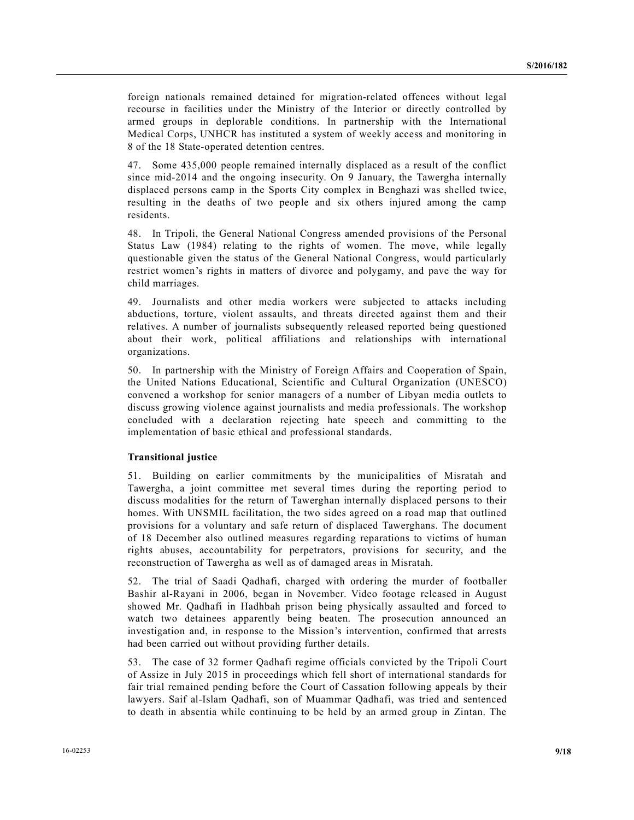S/2016/182<br>foreign nationals remained detained for migration-related offences without legal<br>recourse in facilities under the Ministry of the Interior or directly controlled by<br>armed groups in deplorable conditions. In part S/2016/182<br>
foreign nationals remained detained for migration-related offences without legal<br>
recourse in facilities under the Ministry of the Interior or directly controlled by<br>
armed groups in deplorable conditions. In p S2016/182<br>
are course in facilities under the Ministry of the Interior or directly controlled by<br>
armed groups in deplorable conditions. In partnership with the International<br>
Medical Corps, UNHCR has instituted a system o S/2016/182<br>
S/2016/182<br>
Foreign nationals remained detained for migration-related offences without legal<br>
recourse in facilities under the Ministry of the Internsition of urcely controlled by<br>
Medical Corps, UNHCR has inst 8/2016/182<br>
foreign nationals remained detained for migration-related offences without legal<br>
recourse in facilities under the Ministry of the Interior or directly controlled by<br>
armed groups in deplorable conditions. In p

87.006/182<br>
foreign nationals remained detained for migration-related offences without legal<br>
recourse in facilities under the Ministry of the Interior or directly controlled by<br>
armed groups in deplorable conditions. In p S/2016/182<br>S/2016/182<br>S/2016/182<br>Tercourse in facilities under the Ministry of the Interior or directly controlled by<br>armed groups in deplorable conditions. In partnership with the International<br>Nedical Corps, UNHCR has in S2016/182<br>S2016/182<br>recourse in facilities under the Ministry of the Interior or directly controlled by<br>armed groups in deplorable conditions. In partnership with the International<br>Medical Corps, UNHCR has instituted a sys S72016/182<br>
S72016/182<br>
Frocign nationals remained detained for migration-related offences without legal<br>
recourse in facilities under the Ministry of the Interior or directly controlled by<br>
Medical Corps, UNHCR has instit residents. 572016/182<br>
19. In Tripolar and Society and the Ministry of the Interior or directly controlled by<br>
19. In deployed in deployed conditions. In partnership with the Interior<br>
19. In Alexanderia Congress and Conference ameri Status Law (1984) relating the rights of which the rights of the relationship of the rights under the Ministry of the Interior or directly controlled by arened groups in deplorable conditions. In partnership with the Inter Screeign nationals remained detained for migration-related offences without legal<br>ecourse in facilities under the Ministry of the Interior of theeldy controlled by<br>armed growps in deplorable conditions. In partnership with SC2016/182<br>
Foreign mitionals remained detained for migration-related offences without legal<br>
recourse in facilities under the Ministry of the Interior or directly controlled by<br>
armed groups in deptorable conditions. In p foreign nationals remained detained for migration-related offences without le<br>recourse in facilities under the Ministry of the Interior or directly controlled<br>armed groups in deplorable conditions. In partnership with the

Screegen nationals remained detained for migration-related offences without legal<br>areourse in facilities under the Ministry of the Internetive or directly controlled by<br>anneal groups in dephotable conditions. In parametali **S2016/182**<br>**S2016/182**<br>**Exercise in facilities under the Ministry of the Interior or directly controlled by<br>
armed groups in deplorable conditions. In partnership with the International<br>
Medical Corps, UNHCR has institute** SC2016/182<br>SC2016/182<br>SC2016/182<br>Recourse in facilities under the Ministry of the Interior of circuity controlled by<br>armed groups: in deplorable conditions. In partnership with the International<br>Medical Corps, UNHCR has in foreign nationals remained detained for migration-related offences without legal<br>recourse in facilities under the Ministry of the Interior or directly controlled by<br>armed geoups in deplorable conditions. In partnership wit organizations.

recourse in facilities under the Ministry of the Interior or directly controlled by<br>armed groups in deplorable conditions. In partnership with the International<br>Medical Corps, UNHCR has instituted a system of weekly access armed groups in deplorable conditions. In partnership with the International<br>Medical Corps, UNHCR has instituted a system of workly access and monitoring in<br>36 of the 18 State-operated detention centres.<br>Since mid-2014 and Medical Corps, UNHCR has instituted a system of weekly access and monitoring in S of the 18 State-operated detention entatres.<br>47. Some 435,000 people remained internally displaced as a result of the conflict Since mid-201 8 of the 18 State-operated detention centres.<br>47. Some 435,000 people remained internally displaced as a result of the conflict<br>since mid-2014 and the ongoing insecurity. On 9 January, the Tawergha internally<br>displaced per 47. Some 435,000 people remained internally displaced as a result of the conflict<br>since mid-2014 and the ongoing insecurity. On 9 hanary, the Taverghai niternally<br>displaced persons camp in the Spotts City complex in Bengha 47. Some 435,0000 people remained interesting displaced as a result of the conflict displace mid-2014 and the ongoing insecurity. On 9 January, the Tawergha internally displaced persons camp in the Sports City complex in B displaced persons camp in the Sports City complex in Benghazi was shelled twice,<br>displaced persons camp<br>residents.<br>Transitional for two people and six others injured among the camp<br>residents.<br>At all, In Tripoli, the Genera

residents.<br>
191. In Tripoli, the General National Congress amended provisions of the Personal<br>
35tatus Law (1984) relating to the rights of women. The move, while legally<br>
guestionable given the status of the General Natio 48. In Tripoli, the General National Congress amended provisions of the Personal<br>Status Law (1984) relating to the rights of women. The move, while legally<br>questionable given the status of the Greneral National Congress, w 48. In Tripoli, the General National Congress simulation groussions of the Persons and the Statis Law (1984) relating to the rights of women. The move, while legally questionable given the status of the General National Co Status Law<br>
Let us (1984) relating to the rights of women. The move, while legality<br>
equestionable given the status of the General National Congress, would particularly<br>
endict women's rights in matters of divorce and poly questions flue to state the state of the Greneral National Congress, would particularly<br>restrict women's rights in matters of divorce and polygamy, and parts they for<br>thid marriages.<br>Hothid marriages. A number of divorce a restruct twomen's regards in matters of divorce and polygamy, and pave the way tor<br>
schild marriages.<br>
49. Journalists and other media workers were subjected to attacks including<br>
abductions, torture, violent ussauls, and child marriages.<br>
49. Journalists and other media workers were subjected to attacks including<br>
40. Automorphore of iournalists subsequently released reported being questioned<br>
televisor. A mumber of journalists subsequentl 49. Journalists and other media workers were subjected to attacks including<br>ubutcitons, torture, violent assults, and threats directed against them and their<br>relatives. A number of journalists subsequently released reporte abductions, torture, voloral assualls, and threats directed against them and their work, political affiliations and relationships with international about their work, political affiliations and relationships with internati relatives. A number of Journalists subsequently released reported benny questioned.<br>The their work, political affiliations and relationships with international<br>organizations.<br>the United Nations Educational, Scientific and about their work, political athihations and relationships with international<br>organizations.<br>S0. In partnership with the Ministry of Foreign Affairs and Cooperation (UNESCO)<br>convened a workshop for senior managers of a cumu organizations.<br>
S0. In partienching with the Ministry of Foreign Affairs and Cooperation of Spain,<br>
the United Nations Educational, Scientific and Cultural Organization (UNESCO)<br>
convented a workshop for senior managers of 50. In partnership with the Ministry of Foreign Affairs and Cooperation of Spain,<br>the Unitel Nations Educational, Scientific and Cultural Organization (UNESCO)<br>convened a workshop for senior manages of a number of Libyan m the United Nations Educational, Scientific and Cultural Organization (UNESCO)<br>convened a workshop for senior managers of a number of Libyan media outlets to<br>discuss growing violence against journalists and media profession convenetal a workshop for seanor managers of a number of Ldbyan meda outlets to<br>discuss growing violence against journalists and media professionals. The workshop<br>concluded with a declaration rejecting hate speech and comm discuss grown y voletone against) tournal ais and media protessionals. The workshop<br>concluded with a declaration rejecting hate speech and committing to the<br>implementation of basic ethical and professional standards.<br> **Tra** conciluded with a declaration rejecting last speech and committing to the implementation of basic ethical and professional standards.<br> **Transitional justice**<br>
51. Building on carlier committenents by the municipalities of implementation of basic ethical and professional standards.<br>
S1. Building on carrier commitments by the municipalities of Misratah and S1<br>
Tawergha, a joint committee met several times during the reporting period to<br>
discu **Transitional justice**<br>51. Building on earlier committenents by the municipalities of Misratah and<br>Tawergha, a joint committee met several times during the reporting period to<br>discuss modalities for the return of Tawergham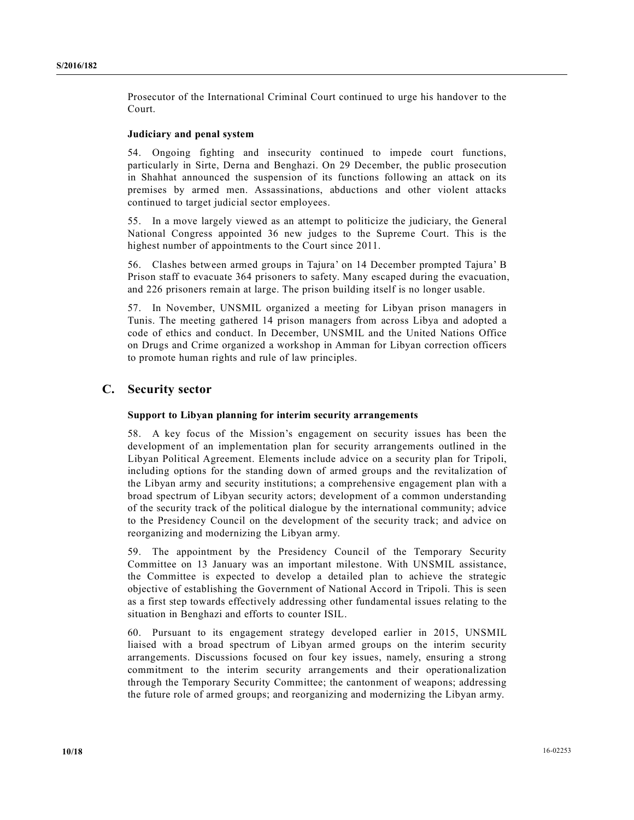Prosecutor of the International Criminal Court continued to urge his handover to the<br>Court.<br>**Judiciary and penal system**<br>54. Ongoing fighting and insecurity continued to impede court functions,<br>particularly in Sirte Derna Court.

Prosecutor of the International Criminal Court continued to urge his handover to the<br>Court.<br>Judiciary and penal system<br>54. Ongoing fighting and insecurity continued to impede court functions,<br>particularly in Sirte, Derna a Prosecutor of the International Criminal Court continued to urge his handover to the<br>Court.<br>Judiciary and penal system<br>54. Ongoing fighting and insecurity continued to impede court functions,<br>particularly in Sirte, Derna a Prosecutor of the International Criminal Court continued to urge his handover to the<br> **Judiciary and penal system**<br>
54. Ongoing fighting and insecurity continued to impede court functions,<br>
particularly in Sirte, Derna and Prosecutor of the International Criminal Court continued to urge his handover to the<br>Court.<br>**Judiciary and penal system**<br>**Judiciary and penal system**<br>particularly in Sirite, Derma and Benghazi. On 29 December, the public p Prosecutor of the International Criminal Court continued to urge his handover to the<br>Court.<br>**Judiciary and penal system**<br>54. Ongoing fighting and insecurity continued to impede court functions,<br>particularly in Sirte, Derna Prosecutor of the International Criminal Court continued to urge his handover to the<br>Court.<br>Judiciary and penal system<br>54. Ongoing fighting and insecurity continued to impede court functions,<br>particularly in Sirte, Derna a Prosecutor of the International Criminal Court continued to urge his handover to the Court.<br> **Judiciary and penal system**<br>
54. Ongoing fighting and insecurity continued to impede court functions,<br>
54. Ongoing fighting and Prosecutor of the International Criminal Court continued to urge his handover to the<br>Court.<br> **Judiciary and penal system**<br>
54. Ongoing fighting and insecurity continued to impede court functions,<br>
particularly in Sithe, De Prosecutor of the International Criminal Court continued to urge his handover to the<br>Court.<br> **Judiciary and penal system**<br>
541. Ongoing fighting and insecurity continued to impede court functions,<br>
sparticularly in Sirie, Prosecutor of the International Criminal Court continued to urge his handover to the Court.<br> **Salicity and penal system**<br> **54.** Ongoing fighting and inseeurity continued to impede court functions,<br>
particularly in Sirte, D Prosecutor of the International Criminal Court continued to urge his handover to the Court.<br>
Surfaciary and penal system<br>
54. Ongoing fighting and insecurity continued to impede court functions,<br>
54. Ongoing fighting and Prosecutor of the International Criminal Court continued to urge his handover to the Court.<br>
Court.<br>
24. Ongoing fighting and insecurity continued to impede court functions,<br>
particularly in Sirte, Derna and Benghazi. On 2

Prosecutor of the International Criminal Court continued to urge his handover to the Court.<br> **Judiciary and penal system**<br> **Judiciary and penal system**<br> **S4.** Ongoing fighting and insecurity continued to impede court funct Prosecutor of the International Criminal Court continued to urge his handover to the Court.<br> **Judiciary and penal system**<br>
54. Ongoing fighting and insecurity continued to impede court functions,<br>
54. Ongoing fighting and Prosecutor of the International Criminal Court continued to urge his handover to the Court.<br>
Judiciary and penal system<br>
Judiciary and penal system<br>
34. Ongoing fighting and insecurity continued to impede court functions,<br> Prosecutor of the International Criminal Court continued to urge his handover to the Court.<br> **Judiciary and penal system**<br>
54. Ongoing fighting and insecurity continued to impede court functions,<br>
54. Ongoing fighting and Prosecutor of the International Criminal Court continued to urge his handover to the Court.<br>
Undiciary and penal system<br>
34. Ongoing fighting and insecurity continued to impede court functions,<br>
particularly in Sirte, Dern 54. Ongoing fighting and insecurity continued to impede court functions,<br>particularly in Sirke, Derna and Benghazi. On 29 December, the public prosecution<br>in Shahhat announced the suspension of its functions following an a

### C. Security sector

particularly in Sirret, Derna an designation 20 9 December, the public prosecution<br>in Shahhat announced the suspension of its functions following an attack on its<br>premises by armed men. Assussimations, adductions and other m Smannst announced the suspension of its intentions iolonomy an antaser on its premises by armed men. Assassinations, abductions and other violent attacks continued to target judicial sector employees.<br>
Sys. In a move lar premises by a mnore ment. Assessimations, avoituous and other violent attacks continued to target pidicial sector employes.<br>
55. In a move largely viewed as an attempt to politicize the judiciary, the General Nightons Tomp continue to target julistics of miny options for the standing of the standing of the standing download Congress appointed 36 new judges to the Supreme Court. This is the Standing Congress appointed 36 new judges to the Sup 55. In a move largel y viewed as an attempt to politicize the judicizry, the General<br>National Congress appointed 36 new judges to the Supreme Court. This is the<br>highest number of appointments to the Court since 2011.<br>This National Congress appointed 36 new judges to the Supreme Court. This is the Bighest number of appointments to the Court since 2011.<br>
Spectrum of the coural spectrum of the Court spectrum of 2011, Case and 226 prisones rema bighest number of appointments to the Court since 2011.<br>
S6. Classles between armed groups in Tajura' on 14 December prompted Tajura' B<br>
Frison staff to evacuate 364 prisoners to safety. Many escaped during the evacuation, 56. Clashes between armed groups in Tajura' on 14 December prompted Tajura' B<br>
Prison staff to evacuate 364 prisoners to safety. Many escaped during the evacuation,<br>
smal 226 prisoners remain at large. The prison building 50. Classnes between amned groups in 1 aptur and 14 December prompto 1 apture of the Committee on 13 January and 14 December 2001 and 226 prisoners remain at large. The prison building itself is no longer usable.<br>This n. I and 226 prisoners remain at large. The prison building itself is no longer usable.<br>
57. In November, UNSMIL organized a mecting for Libyan prison managers in<br>
Tunis. The mecting gathered 14 prison managers from across Liby 57. In November, UNSMIL organized a meeting for Libyan prison managers in Tumis. The meeting gathered 14 prison managers from across Libya and adopted a coole of ethics and conduct. In December, UNSMIL and the United Natio 57. In two<br>compet, UNSSMIL organized a meeting prefile to the parameter of this<br>same Tunis. The meeting gathered 14 prison managers from across Libya and adopted a<br>code of chies and conduct. In December, UNSMIL and the Uni Thus. In an mectromy gametred 14 person managers from excess Livey and accopted or thris and Crime organized a workshop in Amman for Libyan correction officers to promote human rights and clue of law principles.<br>
Security coas or tentes and conduct in Decembers, UNSMIL and the clutted Nations Universal and the comparison on Drugs and Crime organized a workshop in Amman for Libyan correction officers<br>to promote human rights and rule of law p on Drugs and Chine organizzed a workshop in Amiman lor Libyan correction ontiers<br>of pomote human rights and rule of law principles.<br>
Security sector<br>
Support to Libyan planning for interim security arrangements<br>
developmen **Security sector**<br>**Space of the Mission's engagement on security strategy development to fally and edvelopment of an implementation plan for security arrangements outlined in the Eulyan Political Agreement. Elements includ Security sector**<br>
Signer to Libyan planning for interim security arrangements<br>
S8. A key focus of the Mission's engagement on security issues has been the<br>
development of an implementation plan for security armagements o **SCCUTITY SECTOF**<br>SIRECT IDS and planning for interim security arrangements<br>SIS. A key focus of the Mission's engagement on security issues has been the<br>development of an implementation plan for security arrangements outl **Support to Libyan planning for interim security arrangements**<br>
S8. A key focus of the Mission's engagement on security issues has been the<br>
development of an implementation plan for recurity arrangements outlined in the<br> **Support to Libyan planning for interim security arrangements**<br>
SSE. A key focus of the Mission's engagement on security issues has been the<br>
development of an implementation plan for security arrangements outlined in the S8. A key focus of the Mission's engagement on security issues has been the development of an implementation plan for steurity armagements outlined in the Libyan Political Agreement. Elements include advice on a security p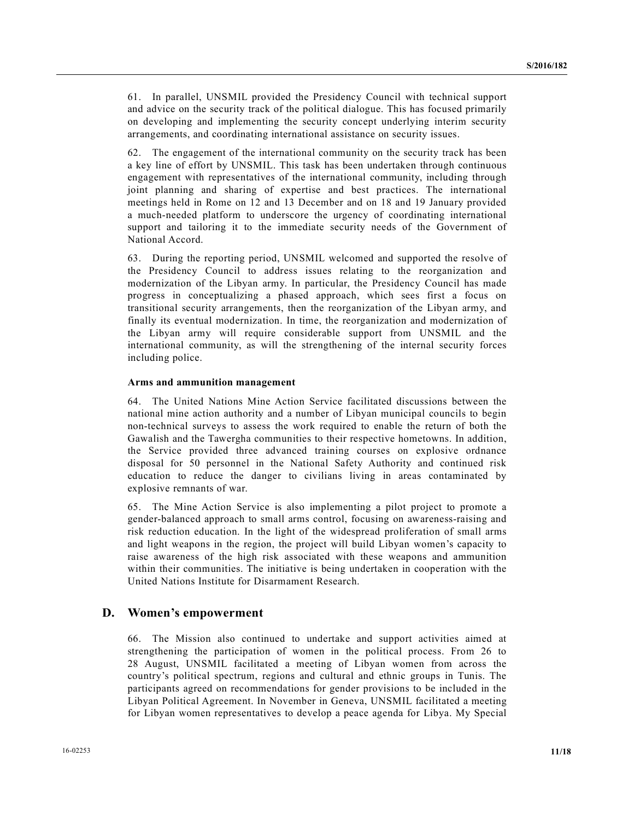S/2016/182<br>61. In parallel, UNSMIL provided the Presidency Council with technical support<br>and advice on the security track of the political dialogue. This has focused primarily<br>on developing and implementing the security c S/2016/182<br>
and advice on the security track of the political dialogue. This has focused primarily<br>
and advice on the security track of the political dialogue. This has focused primarily<br>
on developing and implementing the S/2016/182<br>
61. In parallel, UNSMIL provided the Presidency Council with technical support<br>
and advice on the security track of the political dialogue. This has focused primarily<br>
on developing and implementing the securit

S/2016/182<br>
and advice on the security track of the political dialogue. This has focused primarily<br>
and advice on the security track of the political dialogue. This has focused primarily<br>
arrangements, and coordinating int S72016/182<br>
61. In parallel, UNSMIL provided the Presidency Council with technical support<br>
and advice on the security track of the political dialogue. This has focused primarily<br>
on developing and implementing the securit S/2016/182<br>
61. In parallel, UNSMIL provided the Presidency Council with technical support<br>
and advice on the security track of the political dialogue. This has focused primarily<br>
on developing and implementing the securit S72016/182<br>S72016/182<br>S72016/182<br>and advice on the security track of the political dialogue. This has focused primarily<br>on developing and implementing the security concept underlying interim security<br>arrangements, and coor S2016/182<br>S2016/182<br>S2016/182<br>and advice on the security track of the political dialogue. This has focused primarily<br>on developing and implementing the security concept underlying interim security<br>arrangements, and coordin **S2016/182**<br>**S2016/182**<br>**S2016/182**<br>**S2016/182**<br>**Example on the security track of the political dialogue. This has focused primarily<br>on developing and implementing the security concept underlying interim security<br>arrangeme S2016/182**<br> **S2016/182**<br> **S2016/182**<br> **S2016/182**<br> **on the security track of the political dialogue. This has focused primarily**<br>
on developing and implementing in tescurity concept underlying interni security<br>
arrangeme SCPLES 1. In parallel, UNSMIL provided the Presidency Council with technical support and advice on the security track of the political dialogue. This has focused primarily and diveloping and implementing the security conce 61. In parallel, UNSMIL provided the Presidency Council with technical support<br>and advice on the security track of the political dialogue. This has focused primarily<br>on developing and implementing the security concept unde **S72016/182**<br>**S72016/182**<br>**S72016/182**<br> **S6216/182**<br> **S6216/182**<br> **ond** davice on the security track of the political dalogue. This has focused primarily<br>
and advice on the security is experimenting intermational and coord **S2016/182**<br>**S2016/182**<br>**Edit In parallel, UNSMIL provided the Presidency Council with technical support**<br>and advice on the security track of the political tialogue. This has focused primarily<br>on developing and implementin

S2016/182<br>S2016/182<br>S2016/182<br>and advice on the security tracks of the political dialogue. This has focused primarily<br>on developing and implementing the security concept underlying interim security<br>on developing and implem **S2016/182**<br>**S2016/182**<br>**S2016/182**<br>**Example 11 and advice on the security track of the political dialogue. This has focused primarily<br>on developing and implementing the security concept underlying intermi security<br>arrange S2016/182**<br>**S2016/182**<br>**S2016/182**<br>**Examplement and Avice on the security rack of the political dialogue. This has focused primarily om developing and implementing the security concept underlying interim security is<br>crang S2016/182**<br>**S2016/182**<br>**S2016/182**<br>**and solvice on the security track of the political dialogue. This has focused primarily<br>on developing and implementing the security concept underlying intermaceutity<br>or arrangements, an** SCORO 152<br>
SCORO 152<br>
SCORO 162<br>
and advice on the security track of the political dialogue. This has focused primarily<br>
and advice on the security track of the political dialogue. This has focused primarily<br>
arrangements, 61. In parallel, UNSMIL provided the Presidency Council with technical support<br>and advice on the security track of the political dialogue. This has focused primarily<br>or developing and implementing the security concept unde 61. In parallel, UNSMIL provided the Presidency Council with technical support<br>and advice on the security track of the political dialogue. This has focused primarily<br>on a developing and implementing the security concept un on developing and implementing the security concept underlying interim security<br>arrangements, and coordinating international assistance on security issues.<br>
Fact The engagement of the international community on the securit arrangements, and coordinating international assistance on security issues.<br>
62. The engagement of the international community on the security track has been<br>negagement with representatives of the international community, 62. The engagement of the international community on the security track has been<br>nately line of effort by UNSMIL. This lusk has been undertaken through continuous<br>ineignment with representatives of the international commun a key line of effort by UNSMIL. This task has been undertaken through continuous engagement with representatives of the international commonity, including through mechanical survey of experime and 13 December and or 8 and engagement with representatives of the international community, including through<br>in planaring and sharing of expertise and best practices. The international<br>meetings hold in Rome on 12 and 15 December and on 18 and 19 Jan figured provided in Roman of sharing of expertise and best practices. The international<br>metelings held in Roman on 12 and 13 December and on 18 and 19 January provided<br>a much-needed platform to underscore the urgency of co meetings held in Rome on 12 and 13 December and on 18 and 19 January provided<br>a much-needed platform to underscore the urgency of coordinating international<br>Assoprated platform to underscore the urgency of coordinating int a much-needed platform to underscore the urgency of coordinating international<br>support and talioring it to the immediate security needs of the Government of<br>Shironal Accord.<br>National Accord.<br>The reporting period, UNSMIL we support and tailoring it to the immediate security needs of the Government of<br>National Accord.<br>
63. During the reporting period, UNSMIL welcomed and supported the resolve of<br>
64. During the reporting council to address iss National Accord.<br>
65. During the reporting period, UNSMIL welcomed and supported the resognization and<br>
66. During the relabyan army. In particular, the Presidency Council has made<br>
progress in conceptualizing a phased app 63. During the reporting period, UNSMIL welcomed and supported the resolve of the respectations and modernization of the Libyan army. In particular, the Presidency Council has made appropers in conceptualizing a phased app the Presidency Council to address issues relating to the reorganization and modemization of the Libyen army. In particular, the Presidency Council has made progress in conceptualizing a phased approach, which sees first a

modernization of the Libyan army. In particular, the Presidency Council has made progress in conceptualizing a phased approach, which sees first a focus or promission accurity arrangements, then the recepanization of the L progress in conceptualizing a phased approach, which sees first a focus on<br>transitional security arrangements, then the reorganization of the Libyan army, and<br>finally its eventual modernization. In time, the reorganization frankitional security arrangements, then the reorganization of the Libyan army, and<br>finally its eventual modernization. In time, the reorganization and modernization of<br>the Libyan army will require considerable support fro fraally its eventual modernization. In time, the reorganization and modernization of<br>the Libyan army will require considerable support from UNSMIL and the<br>distretintional community, as will the strengthening of the interna Arms and ammunition management<br>64. The United Nations Mine Action Service facilitated discussions between the<br>national mine action authority and a number of Libyan municipal councils to begin<br>non-technical surveys to asses **Arms and annumumon management**<br> **Eq. The United Nations Mine Action Service facilitated discussions between the**<br>
national mine action authority and a number of Libyan municipal councils to begin<br>
for Gavatilah and the Tw 64. The United Nations Mine Action Service facilitated discussions between the Aution Service facilitated is the action of the Aution Service provided three divantants of their considers the Service provided three divanced national mine action authority and a number of Libyan municipal countis to begin<br>non-technical surveys to assess the work required to enable the treurn of both the<br>Gawalish and the Tawegha communities to their respective h

### D. Women's empowerment

non-technical surveys to assess the work required to enable the return of both the couples Gawalish and the Turvergha communities to their respective hometownss. In addition, the Service provided three advanced raining cou Gawalish and the Tawergha communitets to their respective hometowns. In addition,<br>the Service provided three advanced trainent carries on explosive ordnance<br>disposal for 50 personnel in the National Safety Authority and co the Service provided three advanced training courses on explosive ordnanes<br>disposal for 50 personnel in the National Safety Authority and continued risk<br>education to reduce the danger to civilians living in areas contamina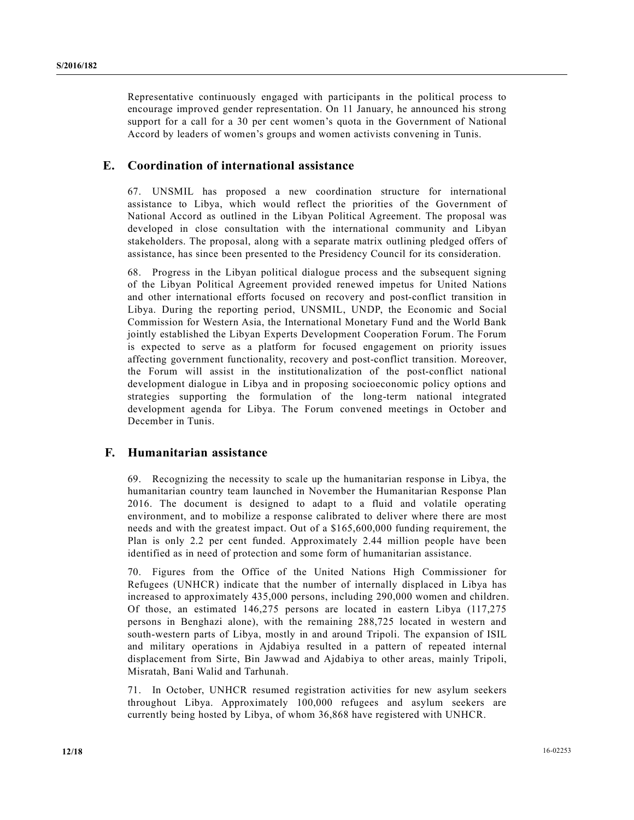Representative continuously engaged with participants in the political process to<br>encourage improved gender representation. On 11 January, he announced his strong<br>support for a call for a 30 per cent women's quota in the G Representative continuously engaged with participants in the political process to<br>encourage improved gender representation. On 11 January, he announced his strong<br>support for a call for a 30 per cent women's quota in the G Representative continuously engaged with participants in the political process to<br>encourage improved gender representation. On 11 January, he announced his strong<br>support for a call for a 30 per cent women's quota in the G Representative continuously engaged with participants in the political process to<br>encourage improved gender representation. On 11 January, he announced his strong<br>support for a call for a 30 per cent women's guota in the G

### E. Coordination of international assistance

Representative continuously engaged with participants in the political process to<br>encourage improved gender representation. On 11 January, he announced his strong<br>support for a call for a 30 per cent women's quota in the G Representative continuously engaged with participants in the political process to<br>encourage improved gender representation. On 11 January, he announced his strong<br>support for a call for a 30 per cent women's quota in the G Representative continuously engaged with participants in the political process to<br>encourage improved gender representation. On 11 January, he announced his strong<br>asymptotr a call for a 30 per cent women's quota in the Gov Representative continuously engaged with participants in the political process to<br>encourage improved gender representation. On 11 January, the amounced his strong<br>support for a call for a 30 per cent women's quota in the G Representative continuously engaged with participants in the political process to<br>encourage improved gender representation. On 11 January, he anonuced his strong<br>support for a call for a 30 per cent women's quota in the Go Representative continuously engaged with participants in the political process to<br>encourage improved gender representation. On 11 January, he announced his strong<br>support for a call for a 30 per cent women's quota in the G

Representative continuously engaged with participants in the political process to<br>Renovange improved gender representation. On 11 January, he announced his strong<br>support for a call for a 30 per cent women's quota in the G Representative continuously engaged with participants in the political process to<br>encourage improved gender representation. On 11 January, he announced his strong<br>support for a call for a 30 per cent women's quota in the G Representative continuously engaged with participants in the political process to<br>encourage improved gender representation. On 11 January, he announced his strong<br>support for a call for a 30 per cent women's quota in the G Representative continuously engaged with participants in the political process to<br>encourage improved gender representation. On 11 January, he announced his strong<br>support for a call for a 30 per cent women's quota in the G Representative continuously engaged with participants in the political process to<br>encourage improved gender representation. On 11 January, he announced his strong<br>atomord and Accord by leaders of women's groups and women a Representative continuously engaged with participants in the political process to<br>encourage improved gender representation. On 11 January, he announced his strong<br>support for a call for a 30 per cent women's quota in the G Representative continuously engaged with participants in the political process to<br>encourage improved gender representation. On 11 January, he announced his strong<br>asyport for a call for a 30 per cent women's quota in the G Representative continuously engaged with participants in the political process to<br>encourage improved gender representation. On 11 January, he announced his strong<br>support for a call for a 30 per cent women's quota in the G encourage improved gender representation. On 11 January, he amounced his strong<br>support for a call for a 30 per cent women's quota in the Government of National<br>Accord by leaders of women's groups and women activists conve support for a call for a 30 per cent women's quota in the Government of National<br>Accord by leaders of women's groups and women activists convening in Tunis.<br>Coordination of international assistance<br>67. UNSMIL has proposed Accord by leaders of women's groups and women activists convening in Tunis.<br> **Coordination of international assistance**<br>
67. UNSMIL. has proposed a new coordination structure for international<br>
assistance to Libya, which w **Coordination of international assistance**<br>67. UNSMIL has proposed a new coordination structure for international<br>assistance to Libya, which would reflect the priorities of the Government of<br>National Accord as outlined in **Coordination of international assistance**<br>67. UNSMIL has proposed a new coordination structure for international<br>assistance to Libya, which would reflect the priorities of the Government of<br>National Accord as outlined in National Aecord as southred in the Libya Political Agreemett. The proposal was stackholders. The proposal, along with a separate matrix outlining pledged offers of sassituates, The proposal, along with a separate matrix ou developed in close consultation with the international community and Libyan<br>stakeholders. The proposal, along with a separate matrix outlining pledged offers of<br>assistance, has since been presented to the Presidency Counci stakeholders. The proposal, along with a separate matrix outlining pledged offers of<br>soiststance, has since been presented to the Presidency Council for its consideration.<br>66. Progress in the Libyan political dialogue proc ssistance, has since been presented to the Presideney Council for its consideration.<br>
S6. Progress in the Libyan political diagoge process and the subsequent sigming<br>
of the Libyan Political Agreement provided renewed impe 68. Progress in the Libyan political dialogue process and the subsequent signing<br>of the Libyan Political Agreement provided renewed impetual for Unitel Nations<br>and other international efforts focused on recovery and post-c os. Progress in the Libyan political diagoge process and not subsequent in the funded.<br>
In the Libyan Political Agreement provided renewed impetus for United Nations<br>
Libya. During the reporting period, UNSMIL, UNDP, the E or in Lioyan Pointeal Agreement provideo fremewou impletion and other international efforts focused on recovery and post-conflict transition in Liby. Denote a Commission for Western Asia, the International Monetary Fund an Liby.a. During the reporting period, UNSMILL, UNDP, the Economic and Social<br>Commission for Western Asia, the International Monetary Fund and the World Bank<br>jointly established the Libyan Experts Development Cooperation For Commission for Western Asia, the International Monetary Fund and the World Bank<br>(ionly established the Libyan Experts Development Cooperation Forum. The Forum<br>is expected to serve as a platform for focused engagement on pr

### F. Humanitarian assistance

increased to a streamed the comparisor Development Cooperation frorum. The forum the rotuneous appearement manifering government functionality, recovery and post-conflict transition. Moreover, affecting government function is expected to areve as a platiom for focused engagement on priority issues<br>affecting government functionality, recovery and post-conflict transition. Moreover,<br>the Forum will assist in the institutionalization of the post affecting government functionality, recovery and post-condlict transition. Moreover, the Forum will assist in the institutionalization of the post-condlict hational<br>development dialogue in Libya and in proposing socioecono the Forum will assist in the institutionalization of the post-conflict national<br>development dialogue in Libya and in proposing socioceonomic policy options and<br>strategies supporting the formulation of the long-term nationa development dialogue in Libya and in proposing socioceonomic policy options and<br>stategies supporting the formulation of the long-term national integrated<br>development agenda for Libya. The Forum convened meetings in October strategies supporting the formulation of the long-term national integrated<br>development agenda for Libya. The Forum convened meetings in October and<br>December in Tunis.<br> **Humanitarian ansistance**<br>
69. Recognizing the necessi development agenda for Libya. The Forum convened meetings in October and<br>December in Tunis.<br> **Humanitarian assistance**<br>
69. Recognizing the necessity to scale up the humanitarian response in Libya, the<br>
humanitarian county December in 1 unis.<br>
Humanitarian assistance<br>
69. Recognizing the necessity to scale up the humanitarian response in Libya, the<br>
humanitarian country team luanched in November the Humanitarian Response Plan<br>
2016. The docu **Humanitarian assistance**<br>
69. Recognizing the necessity to scale up the humanitarian response in Libya, the<br>
thumanitarian country team launched in November the Humanitarian Response Plan<br>
2016. The document is designed t **Humanitarian assistance**<br>
69. Recognizing the necessity to scale up the humanitarian response in Libya, the<br>
humanitarian country team luarehed in November the Humanitarian Response Plun<br>
2016. The document is designed to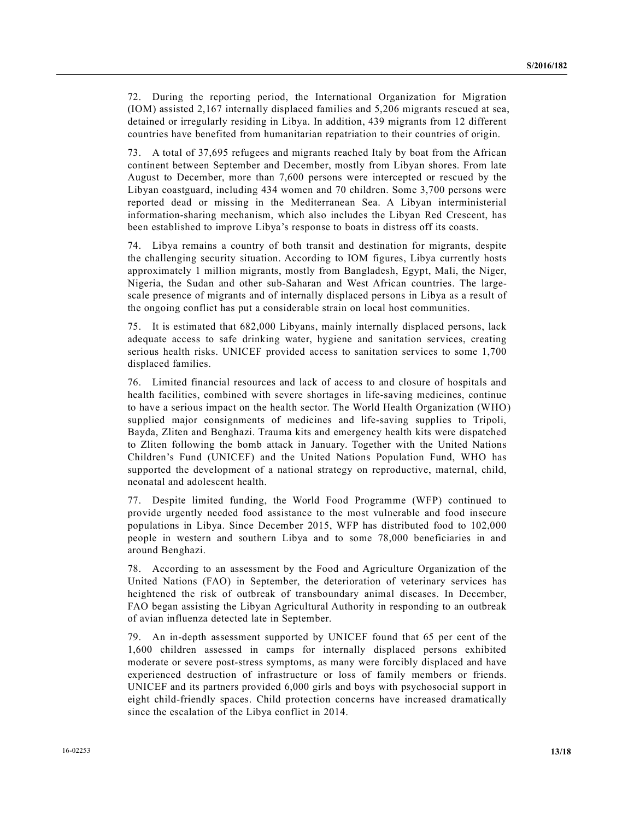S/2016/182<br>
72. During the reporting period, the International Organization for Migration<br>
(IOM) assisted 2,167 internally displaced families and 5,206 migrants rescued at sea,<br>
detained or irregularly residing in Libya. I S/2016/182<br>
(IOM) assisted 2,167 internally displaced families and 5,206 migrants rescued at sea,<br>
(IOM) assisted 2,167 internally displaced families and 5,206 migrants rescued at sea,<br>
detained or irregularly residing in **S2016/182**<br>(IOM) assisted 2,167 internally displaced families and 5,206 migrants rescued at sea,<br>detained or irregularly residing in Libya. In addition, 439 migrants from 12 different<br>countries have benefited from humani

S/2016/182<br>
(IOM) assisted 2,167 internally displaced families and 5,206 migrants rescued at sea,<br>
(IOM) assisted 2,167 internally displaced families and 5,206 migrants rescued at sea,<br>
detained or irregularly residing in 572016/182<br>
72. During the reporting period, the International Organization for Migration<br>
(IOM) assisted 2,167 internally displaced families and 5,206 migrants rescued at sea,<br>
detained or irregularly residing in Libya. I S/2016/182<br>
72. During the reporting period, the International Organization for Migration<br>
(IOM) assisted 2,167 internally displaced families and 5,206 migrants rescued at sea,<br>
detained or irregularly residing in Libya. I SC2016/182<br>
27. During the reporting period, the International Organization for Migration<br>
(IOM) assisted 2,167 internally displaced families and 5,206 migrants rescued at sea,<br>
detained or irregularly residing in Libya. I S2016/182<br>
2. During the reporting period, the International Organization for Migration<br>
(IOM) assisted 2,167 internally displaced families and 5.206 migrants rescued at sea,<br>
detained or irregularly residing in Libya. In **S2016/182**<br>**S2016/182**<br>**COM**) assisted 2,167 internally displaced families and 5,206 migrants rescued at sea,<br>**detained or irregularly residing in Libya. In addition, 439 migrants from 12 different<br>countries have benefit S2016/182**<br> **S2016/182**<br> **COM**) assisted 2,167 internally displaced families and 5,206 migrants rescued at sea,<br>
detained to riregularly residing in Libya. In addition, 439 migrants from 12 different<br>
countries have bene **S2016/182**<br>
27. During the reporting period, the International Organization for Migration (IOM) assisted 2, l67 internally displaced families and 5,206 migrants respond at sea, detained or irregularly residing in Libya. 52. During the reporting period, the International Organization for Migration (IOM) assisted 2, 167 internally displaced families and 5,206 migrants researed at sea, detained or irregularly residing in Libya. In addition, **52016/182**<br>**52016/182**<br>**52016/182**<br> **COM** sassisted 2,167 iteratingly singlened families and 5.2006 migrants rescued at sea, detained or irregularly residing in Libya. In addition, 439 migrants from 12 different countries **22.** During the reporting proiod, the International Organization for Migration (IOM) assisted 2,167 internally displaced families and 5,206 migrants rescued at sea, detained or irregularly residing in Libya. In addition, S2016/182<br>S2016/182<br>S2016/182<br>(COM) sassisted 2,167 internally displaced firmlines and 5.200 inigration for Migration<br>detained or irregularly residing in Libya. In addition, 439 migrants from 12 different<br>countries have be **S2016/182**<br>**S2016/182**<br>**S2016/182**<br>**C(OM)** assisted 2,167 internally displaced families and 5,206 migrants rescued at sea,<br>detianed to irregularly residuped in Libya. In addition, 439 migrants from 12 different<br>countries S2016/182<br>
(IOM) assisted 2,167 internally displaced families and 5,260 inigration for Migration<br>(detained or irregularly residing in Libya. In addition, 439 migrants from 12 different<br>
countries have benefited from humani **S2016/182**<br> **S2016/182**<br> **COM)** assisted 2,1607 internally displaced families and 5.2006 ingentas resceed at each<br>
detained or irregularly residing in Libya. In addition, 439 migrants from 12 different<br>
continues have be 72. During the reporting period, the International Organization for Migration (IOM) assisted 2,167 internally displaced families and 5,206 migrants rescued at sea, detained or irregularly residing in Libya. In dedition, 4 72. During the reporting period, the International Organization for Migration (IOM) assisted 2,1667 internally displaced families and 5.206 migratas freseured at sea, detained or irregularly residing in Libya. In addition, 72. During the reporting period, the International Organization for Migration<br>(IOM) assisted 2,167 internally displaced families and 5,206 migrants rescued at sea,<br>detained or irregularly residing in Libya. In addition, 43 detained or irregularly residing in Libya. In addition, 439 migrants from 12 different<br>countries have benefiled from humanitarian repatriation to their counties of origin.<br>73. A total of 37,695 refugeees and migrants reach

countries have benefited from humanitarian repatriation to their countries of origin.<br>73. A total of 37,695 refugees and migrants reached Italy by boat from the African<br>continent between September and December, mostly from 73. A total of 37,695 refugees and migrants reached Italy by boat from the Artican continent between September, more than December, morely from Libyan shores. From late August to December, more than 7,600 persons were inte 73. A total of 37,699 retugees and mappennis reached ltaily by boat from the Altrican<br>continent between September and December, mostly from Libyan abores. From late<br>alugust to December, more than 7,600 persons were interce coulment between September and December, mostly from Libyan shores. From late<br>August to December, more than 7,600 persons were intercepted or rescued by the<br>Libyan coasiguard, including 434 women and 70 children. Some 3,70 August 10 December, more than 7/800 persons were intercepted or researced by the Micham castguard, including 434 women and 70 children. Some 3,700 persons were reported dead or missing in the Mediterranean Sea. A Libyan in Libyan coosiguard, including 434 women and 70 children. Some 3,700 presons were<br>properted dead or missing in the Mediterranean Sea. A Libyan interministerial<br>information-sharing mechanism, which also includes the Libiyan R reported dead or mussumg in the Mediterration Steal. A Libyan interministerial<br>information-sharing mechanism, which also includes the Libyan Red Crescent, has<br>been established to improve Libya's response to boats in distre nformation-sharing mechanism, which also includes the Libyan Red Crescent, has<br>nformation-sharing mechanism, which also includes the Libyan Red Crescent,<br>74. Libya remains a country of both transit and destination for migr 74. Libya remains a country of both transit and destination for migrants, despite<br>the challenging security situation. According to 100M figures, Libya currently hosts<br>approximately 1 million migrants, mostly from Banglades 74. Libya remains a coountry of both transist and destination for myrrants, despite paperoximately 1 million migrants, mostly from Bangladesh, Egypt, Mali, the Niger, Nigeria, the Sudara and other sub-Saharan and West Afri the challengus security stutation. According to 100M higures, Libya currently hosts<br>approximately 1 million migrants, mostly from Bangladesh, Egypt, Mali, the Niger;<br>Nigeria, the Sudan and other sub-Saharan and West Africa approximately 1 million migranta, mostly from Bongladesh, Egypt, Mali, the Nigeration and other sub-Saharan and West African countries. The large-<br>scale presence of migrants and of internally displaced persons in Libya as Nigeria, the Sudan and other sub-Sahara nand West African countries. The large<br>scale presence of migrants and of internally displaced persons in Libya as a result the ongoing conflict has put a considerable strain on local the ongoing conflict has put a considerable strain on local host communities.<br>
75. It is estimated that 682,000 Libyans, mainly internally displaced pressons, lack<br>
adequate access to safe drinking water, hygiene and smini 75. It is estimated that 682,000 Libyans, mainly internally displaced persons, lack<br>adequate access to safe drinking water, hygiere and saintation services, creating<br>estrious health risks. UNICEF provided access to smallat 75. It is estimated that 682,000 Libyanas, manily internally displaced pressons, lack<br>deducate access to safe drinking water, hygiene and stantiation services, creating<br>displaced firmlies.<br>To kinist of miximal diseases to adequate access to sate drinking water, hygenes and saturation services, creating<br>serious health risks. UNICEF provided access to santiration services to some 1,700<br>displaced families.<br>To Limited financial resources and la scrows health rasks. UNICEF provided access to samitation services to some 1,700<br>displaced families. CNICEF provided access to and closure of hospitals and<br>health facilities, combined with severe shortages in life-saving m 76. Limited financial resources and lack of access to and closure of hespitals and health facilities, combined with severe shortages in life-sawing medicines, comtinue bo have a serious impact on the health sector. The Wor 76. Limited Imagnal resources and leak of access to and elastor of hospitals and<br>bealth facilities, combined with severe shortages in life-saving medicines, continue<br>of to have a serious impact on the held heat is scott. T health lactilities, combined with severe shortlages in line-saving medicines, continue<br>supplied major consigments of medicines and life-saving supplies to Tripoli,<br>Bayda, Zliten and Benghazi. Trauma kits and emergency heal

to have a serous impact on the basila sector. The World Health Organization (WHO) samplies to Tripoli, a<br>supplied major consignments of medicines and life-saving supplies to Tripoli, a<br>bayda, Zliten and Benghazi. Trauma ki supplied mayr consugmments of medicines and life-saving supplies to Tripoli,<br>Bayda, Zliten and Benghazi. Trauma kits and emergency health kits were dispatched<br>Childern's Fund (UNICEF) and the United Nations Population Fund Bayda, Zluten and Benghaza. Trauma kus smd emergency bealth kits were dispeted.<br>Its Zliten following the bonb attack in January. Together with the United Mations<br>Stylidern's Fruid (UNICEF) and the United Nations Population io Zulten following the bomb attack in January. Together with the United Nations<br>Children's Fund (UNICEF) and the United Nations Population Fund, WHO has<br>supported the development of a national strategy on reproductive, ma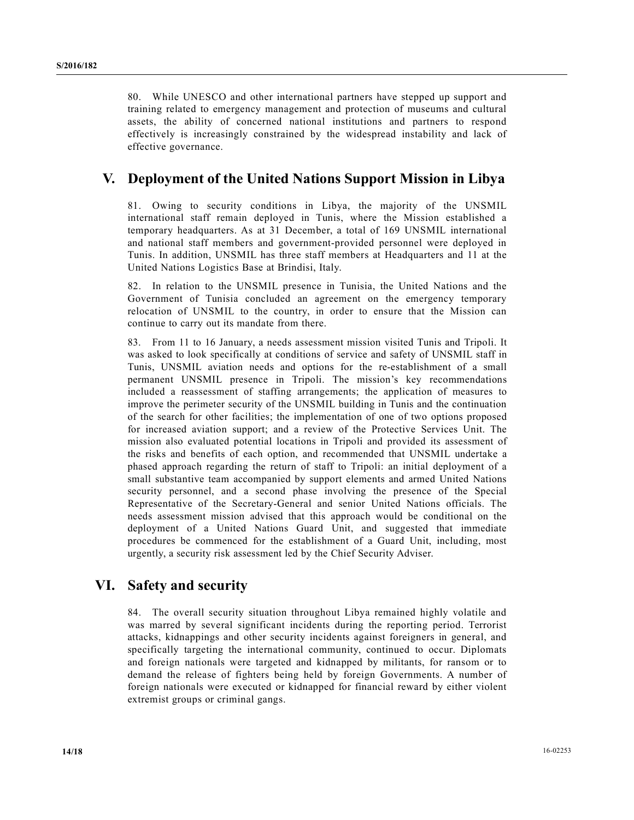80. While UNESCO and other international partners have stepped up support and training related to emergency management and protection of museums and cultural assets, the ability of concerned national institutions and partn SO. While UNESCO and other international partners have stepped up support and<br>training related to emergency management and protection of museums and cultural<br>assets, the ability of concerned national institutions and partn assets, the UNESCO and other international partners have stepped up support and<br>training related to emergency management and protection of museums and cultural<br>assets, the ability of concerned national institutions and par 80. While UNESCO and other international partners have stepped up support and<br>training related to emergency management and protection of museums and cultural<br>assets, the ability of concerned national institutions and partn 80. While UNESCO and other international partners have stepped up support and<br>training related to emergency management and protection of museums and cultural<br>assets, the ability of concerned national institutions and partn

# V. Deployment of the United Nations Support Mission in Libya

80. While UNESCO and other international partners have stepped up support and<br>training related to emergency management and protection of museums and cultural<br>assests, the ability of concerned national institutions and part 1800 While UNESCO and other international partners have stepped up support and<br>training related to emergency management and protection of museums and cultural<br>assess, the ability of concerned national institutions and part 80. While UNESCO and other international partners have stepped up support and<br>training related to emergency management and protection of museums and cultural<br>assests, the shellity of concerned national institutions and par 80. While UNESCO and other international partners have stepped up support and<br>training related to emergency management and pretoction of museums and cultural<br>assets, the ability of concerned national institutions and partn 80. While UNESCO and other international partners have stepped up support and<br>training related to emergency management and protection of museums and cultural<br>tasets, the ability of concerned national institutions and partn 80. While UNESCO and other international partners have stepped up support and<br>training related to emergency management and protection of museums and cultural<br>assets, the ability of concerned national institutions and partn 88. While UNESCO and other international partners have stepped up support and ansets, the ability of concerned national institutions and partners to respond effectively is increasingly constrained by the widespread instabi So. While UNESCO and other international partners have stepped up support and<br>attaining related to emergency management and protection of museums and cultural<br>assets, the ability of concerned national institutions and part 80. While UNESCO and other international partners have stepped up support and<br>training relaced to emergency management and protection of museums and cultural<br>effective ly is increasingly constrained by the widespread insta 80. While UNESCO and other international partners have stepped up support and<br>training related to emergency management and protection of museums and cultural<br>assets, the ability of concerned national institutions and partn

89. While UNESCO and other international partners have stepped up support and<br>training related to emergency management and protection of museums and cultural<br>assess, the ability of concerned national institutions and partn 80. While UNESCO and other international partners have stepped up support and a<br>training related to emergency management and protection of museums and collural<br>states, the ability of concerned national institutions of depa or. "Wine creducted on enter the ministant parameter and the respect of prince and other and particular effectively is increasingly constrained by the videspread instability and leak of effective governance.<br> **Deployment o** ation and the content of the United Constant and potention' of inacts and contains and partners to respondent<br>effectively is increasingly constrained by the widespread instability and lack of effective governance.<br> **Deplo** issess, us a analy of concerning barolandar institutions and platters of espendal<br>effectively is increasingly constrained by the widespread instability and lack of<br>effective governance.<br> **Deployment of the United Nations S** effective governance.<br>
effective governance.<br>
Deployment of the United Nations Support Mission in Libya<br>
81. Owing to security conditions in Libya, the majority of the UNSMIL<br>
international staff remain deployed in Tunis, **Exercute governance.**<br> **Deployment of the United Nations Support Mission in Libya**<br>
181. Owing to security conditions in Libya, the majority of the UNSMIL<br>
international staff remain deployed in Tunis, where the Mission e **Deployment of the United Nations Support Mission in Libya**<br>
81. Owing to security conditions in Libya, the majority of the UNSMIL<br>
international staff remain deployed in Tunis, where the Mission established a<br>
temporary **Deployment of the United Nations Support Mission in Libya**<br>
81. Owing to security conditions in Libya, the majority of the UNSMIL<br>
intermational starf remain deployed in Trunis, where the Mission established a<br>
intermati 81. Owing to security conditions in Libya, the majority of the UNSMIL international staff remain deployed in Tunis, where the Mission established a temporary headquarters. As at 31 December, a total of 169 UNSMIL internati 81. Owing to security conditions in Libya, the majority of the UNSMIL international staff remain edployed in Tunis, where the Mission established a feaming-main deployed in Tunis. In addition, UNSMIL has three staff member international staff remain deployed in Tunis, where the Mission established a<br>teamporary headquarters. As at 31 December, a totil of 169 UNSMIL international<br>and national staff members and government-provided personnel wer temporary headquarters. As at 31 December, a total of 169 UNSMIL international<br>main antional staff members and government-provided personnel were deployed in<br>Tunis. In addition, UNSMIL has three staff members at Headquarte and national staff members and government-provided personnel were deployed in Tunis. In addition, UNSMIL has three staff members at Headquarters and 11 at the United Nations Dogitics. Base at Brindisi, Italy.<br>
So United Na Tunis. In addition, UNSMII, has three staff members at Headquarters and 11<sup>'</sup> at the United Nations Logistics Bares at Brindisi, Italy.<br>
United Nations and the SS2. In relation to the UNSMII, presence in Tunisia, the Unite United Nations Logistics Base at Brindisi, Italy.<br>S2. In relation to the UNSMIL presence in Tunisia, the United Nations and the<br>Sovernment of Tunisia concluded an agreement on the emergency temporary<br>relocation of UNSMIL t 82. In relation to the UNSMIL presence in Tunisia, the United Nations and the Government of Tunisia concluded an agreement on the emergency temporary relations of NSMIL to the country, in order to emerge the the similar co SZ. In relation to the UNSMIL presence in Tunista, the United Nations and the contenent of Tunisia concluded an agreement on the emergency temporary concourse relocation of UNSMIL to the country, in order to ensure that th 57. Thout THU viv January, a meets a sessealment mission visitor (where the main and a right in the security in the mission's lavas asked to look specifically at conditions of service and serious for the restablishment of was assesue to coose percuring at continuous of servere and sately of consorting the matter of a small function. UNSMIL presence in Tripoli. The mission's key recommendations included a reassessment of staffing arrangement Function areas and optimized a research in the research is the restriction of measurement in the simple areas in Tripoli. The mission's key recommendations in<br>plurement UNSMIL burstners is included a reassessment of slatif penuature Cressor is peacents in the masses, and the masses of several and the continuent of starting person is the proplements of the UNSML building in Tunis and the continuation of the search for other finctities (the in measses that this improve the perimeter security of the UNSMIL building in Tunis and the continuation<br>of the search to other findities; the implementation of one of two options proposed<br>of the sume support; and a review of mpove un perminet section, the uncessor to the Protective Surface of the search for other facilities; the implementation of one of two options proposed or<br>inferiences the release of weakers of the Protective Service Unit. or us search to outer heating the interaction of outer or two optical proposes Unit. The mission tallo evaluated plotnital locations in Tripoli and provided its usessment of the neisk and benefits of each option, and recom For increase a vacual respective, and a review of unit rotective Services Unit. The strease or compared the risks and bending the restricted by the risks and bending the restrict of the phased approach regarding the return

# VI. Safety and security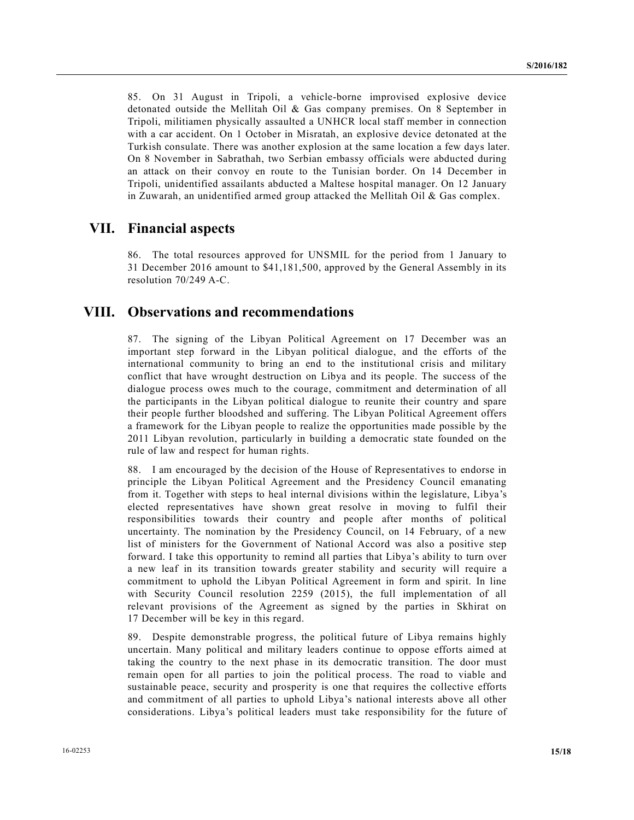85. On 31 August in Tripoli, a vehicle-borne improvised explosive device<br>detonated outside the Mellitah Oil & Gas company premises. On 8 September in<br>Tripoli, militiamen physically assaulted a UNHCR local staff member in c S72016/182<br>
85. On 31 August in Tripoli, a vehicle-borne improvised explosive device<br>
detonated outside the Mellitah Oil & Gas company premises. On 8 September in<br>
Tripoli, militiamen physically assaulted a UNHCR local sta SC2016/182<br>SS. On 31 August in Tripoli, a vehicle-borne improvised explosive device<br>detonated outside the Mellitah Oil & Gas company premises. On 8 September in<br>Tripoli, militiamen physically assaulted a UNHCR local staff S72016/182<br>
S85. On 31 August in Tripoli, a vehicle-borne improvised explosive device<br>
detonated outside the Mellitah Oil & Gas company premises. On 8 September in<br>
Tripoli, militiamen physically assaulted a UNHCR local s SS. On 31 August in Tripoli, a vehicle-borne improvised explosive device<br>detonated outside the Mellitah Oil & Gas company premises. On 8 September in<br>Tripoli, militiamen physically assaulted a UNHCR local staff member in c SCO16/182<br>
SCO16/182<br>
detonated outside the Mellitah Oil & Gas company premises. On 8 September in<br>
detonated outside the Mellitah Oil & Gas company premises. On 8 September in<br>
Tripoli, militiamen physically assaulted a U 87006/182<br>85. On 31 August in Tripoli, a vehicle-borne improvised explosive device<br>detonated outside the Mellitah Oil & Gas company premises. On 8 September in<br>Tripoli, militiamen physically assaulted a UNHCR local staff m S7. On 31 August in Tripoli, a vehicle-borne improvised explosive device<br>detonated outside the Mellitah Oil & Gas company premises. On 8 September in<br>Tripoli, militianen physically assaulted a UNICR local staff member in SC2016/182<br>
SC2016/182<br>
SC2016/182<br>
detonated outside the Mellitah Oil & Gas company premises. On 8 September in<br>
Tripoli, militiamen physically assaulted a UNHCR local staff member in connection<br>
with a craceciott. On 1 O 88. On 31 August in Tripoli, a vehicle-borne improvised explosive device<br>detonated outside the Mellinh Oil & Gas company premises. On 8 September in<br>Tripoli, militiamen physically assulted a UNHCR local staff member in con **S2016/182**<br> **S2016/182**<br>
S3. On 31 August in Tripoli, a vehicle-borne improvised explosive device<br>
detonated ouside the Mellitah Oil & Gas company premises. On 8 September in<br>
Tripoli, militiamen physically assaulted a U SS. On 31 August in Tripoli, a vehicle-borne improvised explosive device<br>detonated outside the Mellittah Oil & Gas company premises. On 8 September in<br>Tripoli, militiamen physically assaulted a UNHCR local staff member in 85. On 31 August in Tripoli, a vehicle-borne improvised explosive device<br>detonated outside the Mellitah Oil & Gas company premises. On 8 September in<br>Tripoli, militianene physically assaulted a UNHCR local staff member in 85. On 31 August in Tripoli, a vehicle-borne improvised explosive device<br>detonated outside the Mellital Oil & Gas company premises. On 8 September in<br>Tripoli, militianen physically assulted a UNHCR local staff member in co S2. On 31 August in Tripple, a vehicle-borne improvised explores deviate apply and detonated outside an UNICR local staff membric in coneccion<br>with a car accident. On 1 October in Misratah, an explosive device detonated at

### VII. Financial aspects

## VIII. Observations and recommendations

det outside the Mellithah OII & Gas company premises. On 8 September in<br>Tripoli, militianen physically assaulted a UNHCR local staff member in connection<br>With a car accident. On 1 October in Misratah, an explosive device d Irpoli, militamen physically assulted a UNIKC local still membre in connection<br>Turkish consider. There was another explosion at the same location a few days later.<br>Turkish consider a There was another explosion at the sam with a car accordent. On 1 October in Misratala, an explosive device detonanted at the<br>Turkish consulate. There was another explosion at the same location a few days later.<br>On 8 November in Sabardah, two Serbian embassy of Turkish considers. There was another explosion at the sume location a leve days later.<br>To 8 November in Sabrathah, two Serbian embassy officials were abducted during<br>an dita-8. On the convoy en oute to the Tunisian border. On S November in Sabrahlah, two Serbuan embassy officials were abouted during<br>an attack on their convoy in coute to the Tunisian border. On 14 December in<br>Tripoli, unidentified assailants abducted a Maltsee hospital manage an statek on their convoy in potite to the Iunisian burder. On 14 December in<br>Tripoli, unidentified assailants abdueted a Maltese hospital manager. On 12 January<br>in Zuwarah, an unidentified armed group attacked the Mellita Impoli, undetentied assulates boyited and Malese hospital manager. On 12 January<br>
Im Zuwarah, an unidentified armed group attacked the Mellitah Oil & Gas complex.<br>
Financial aspects<br>
86. The total resources approved for U **Financial aspects**<br>86. The total resources approved for UNSMIL for the period from 1 January to<br>81 December 2016 amount to \$41,181,500, approved by the Gineral Assembly in its<br>87. The signing of the Libyan Political Agre **Financial aspects**<br>86. The total resources approved for UNSMIL for the period from 1 January to<br>31 December 2016 amount to \$41,181,500, approved by the General Assembly in its<br>resolution 70/249 A-C.<br>**Observations and reco Financial aspects**<br>
Sfin to total resoarces approved for UNSMIL for the period from 1 January to<br>
31 December 2016 amount to \$41,181,500, approved by the General Assembly in its<br>
resolution 70/249 A-C.<br> **Observations and** 86. The total resources approved for UNSMIL for the period from 1 January to 31 December 2016 amount to \$41,181,500, approved by the General Assembly in its resolution 70/249 A-C.<br> **Observations and recommendations**<br>
87. T

86. The total resources approved for UNSMIL for the period from 1 January to<br>81 December 2016 amount to \$41,181,500, approved by the General Assembly in its<br>resolution 70/249 A-C.<br>**Observations and recommendations**<br>87. The 31 December 2016 smount to \$41,181,500, approved by the General Assembly in its<br>
resolution 70/249 A-C.<br> **Observations and recommendations**<br>
87. The signing of the Libyan Political Agreement on 17 December was an<br>
importa resolution 70/249 A-C.<br> **Observations and recommendations**<br>
87. The signing of the Libyan Political Agreement on 17 December was an<br>
important step forward in the Libyan political dialogue, and the efforts of the<br>
internat **SOE EVALUATE AT THE SET THE COMMON CONDUCT THE SET THE SET THE SET THE SET THE SET IN THE SET INCOLLED INCOLLED THE SET INCOLLED INTO THE SET IN THE SET IN THE SET IN THE SET IN THE SET IN THE SET IN THE SET IN THE SET IN Observations and recommendations**<br>
87. The signing of the Libyan Political Agreement on 17 December was an important step forward in the Libyan political dialogue, and the efforts of the international community to bring **COLLET THE SURFALIONS AND PECTUAL AGREEM** and precement on 17 December was an symparitant step form laint in the Libyan political dialogue, and the efforts of the limparitantial community to bring an end to the instituti 87. The signing of the Libyan Political Agreement on 17 December was an important step forward in the Libyan political dialogue; and the efforts of the international community to bring an end to the institutional crisis an 87. The sugmmy of the Libyan Political Agreement in 17 December was an dilustry international community to bring an end to the institutional crists and military iochericational community to bring an end to the institutiona mportant site) towward in the Libyin political dialogue, and the clivers of the constitutional community to bring an end to the institutional crisis and military conflict that have wrought destruction on Libya and its peo conflict that have wrought destruction on Libya and its people. The success of the dialogue process over much to the courage, committent and determination of all the particularity conditional system and the particularity p dialogue process owes much to the courage, commitment and determination of all<br>the participants in the Libyan political dialogue to reunite their country and spare<br>their people further bloodshed and suffering. The Libyan P the participants in the Libyan political dialogue to reunite their country and spare<br>their prople further bloodshod and suffering. The Libyan Political Agreement offers<br>a framework for the Libyan people to realize the oppo their people further bloodshed and suffering. The Libyan Political Agreement offers a framework for the Libyan people to realize the opportunities made possible by the 2011 Libyan revolution, particularly in building a dem a framework for the Libyan people to realize the opportunities made possible by the 2011 Libyan revolution, particularly in building a democratic state founded on the rule of law and respect for human rights.<br>
The meconarg 2011 Libyan revolution, particularly in building a democratic state founded on the rule of law and respect for human rights.<br>
The measured of human commit interests above all particular Agenteement and the Presidency Counc rule of law and respect for human rights.<br>SS.<br>I am encouraged by the decision of the House of Representatives to endorse in<br>Spinniple the Libyan Political Agreement and the Presidency Council emanating<br>from it. Together wi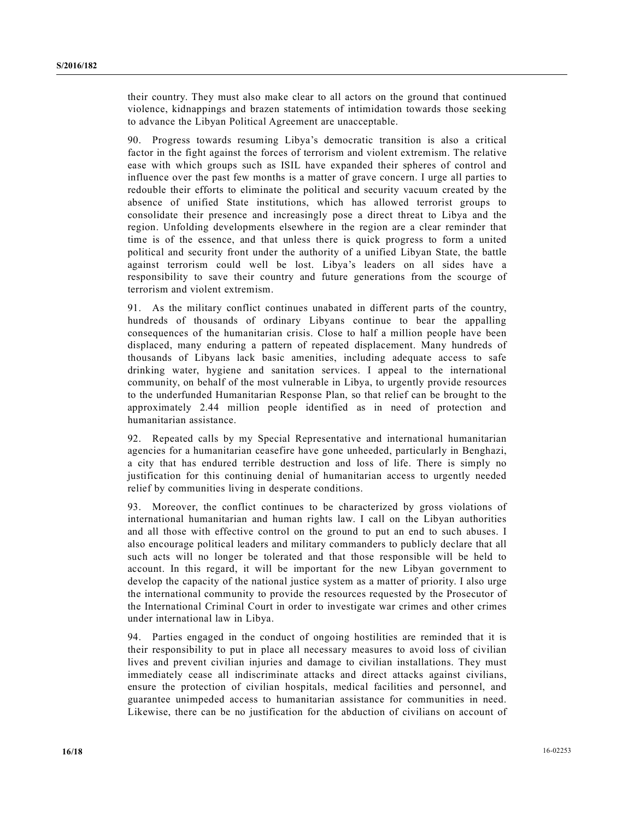their country. They must also make clear to all actors on the ground that continued<br>violence, kidnappings and brazen statements of intimidation towards those seeking<br>to advance the Libyan Political Agreement are unacceptab

The state of the means of intimidation towards that continued violence, kidnappings and brazen statements of intimidation towards those seeking to advance the Libyan Political Agreement are unacceptable.<br>
90. Progress towa their country. They must also make clear to all actors on the ground that continued<br>violence, kidnappings and brazen statements of intimidation towards those seeking<br>to advance the Libyan Political Agreement are unacceptab their country. They must also make clear to all actors on the ground that continued violence, kidnappings and brazen statements of intimidation towards those seeking ou. Progress towards resuming Libya's democratic transit their country. They must also make clear to all actors on the ground that continued<br>violence, kidnappings and brazen statements of intimidation towards those seeking<br>to advance the Libyan Political Agreement are unacceptab their country. They must also make clear to all actors on the ground that continued<br>violence, kidnappings and brazen statements of intimidation towards those seeking<br>to advance the Libyan Political Agreement are unacceptab their country. They must also make clear to all actors on the ground that continued violence, kidnappings and brazen statements of intimidation towards those seeking to advance the Libyan Political Agreement are unacceptab their country. They must also make clear to all actors on the ground that continued violence, kidnappings and brazen statements of intimidation towards those seeking to advance the Libyan Political Agreement are unacceptab their country. They must also make clear to all actors on the ground that continued violence, kidnappings and brazen statements of intimidation towards those seeking to advance the Libyan Political Agreement are unacceptab their country. They must also make clear to all actors on the ground that continued violence, kidnappings and brazen statements of intimidation towards those seeking to advance the Libyan Political Agreement are unacceptab their country. They must also make clear to all actors on the ground that continued violence, kidnappings and brazen statements of intrinidation towards those seeking to dowance the Libyan Political Agreement are unaccepta their country. They must also make clear to all actors on the ground that continued violence, kidnappings and brazen statements of intimidation towards those seeking to dware the Libyan Political Agreement are unacceptable their country. They must also make clear to all actors on the ground that continued<br>violence, kidnapping and brazen statements of intimidation towards those seeking<br>to advance the Libyan Political Agreement are nanceeptabl their county. They must also make clear to all actors on the ground that continued<br>violence, kidnappings and brazzn statements of intimidation towards those seeking<br>to advance the Libyan Political Agreement are unacceptabl their country. They must also make clear to all actors on the ground that continued<br>violence, kidnappings and brazen statements of intimidation towards those seeking<br>to downce the Libyan Political Agreement are unacceptabl their country. They must also make clear to all actors on the ground that continued<br>violence, kidnappings and brazen statements of intimidation towards those seeking<br>to advance the Libyan Political Agreement are unacceptab their country. They must also make clear to all actors on the ground that continued violence, kindappings and braze statements of intimidation towards those seeking to divare the pilling and braze statement are unacceptabl their country. They must also make clear to all actors on the ground that continued<br>violence, kidnappings and brazen statements of intimidation towards those seeking<br>of the Libyan Political Agreement are unacceptable.<br>Soon their country. They must also make clear to all actors on the ground that continued violence, kidnappings and brazer sattements of intimidation towards those seeking to dowance the Libyan Political Agreement are unacceptab their country. They must also make clear to all actors on the ground that continued<br>violence, kidnappings and brazen statements of intimidation towards those seeking<br>to downed the Libyan Political Agreement are unacceptabl their country. They must also make clear to all actors on the ground that continued<br>violence, kidmappings and bracca statements of initimidation towards those seeking<br>to advance the Libyan Political Agenement are unaccepta violence, kidnappings and brazen statements of intimidation towards those seeking<br>to avance the Libyan Political Agreement are unacceptable.<br>The appear of the fight agains the foreses of terrorism and violent extremism. Th to advance the Libyan Political Agreement are unacceptable.<br>90. Progress towards resuming Libya's democratic transition is also a critical<br>distor in the fight against the forces of terrorism and violent extremism. The rela 90. Progress towards resuming Libya's democratic transition is also a critical<br>actor in the fight against the forces of terrorism and violent extremism. The relative<br>case with which groups such as ISIL have expanded their 90.<br>
The regress towards resumming Libya's democratic transition is sito a critical<br>descent in the fight against the forces of terrorism and violent extremism. The relative<br>dentitive the propare such as ISIL, have expanded factor in the fight agans the forces of terrorism and violent extension. The relative orace oris the which groups such as ISIL have expanded their spheres of control and influence over the past few months is a matter of gr influence over the past few months is a matter of grave concern. I urge all parties to<br>redouble their efforts to eliminate the political and socurative vacuum created by the<br>consolidate their presence and internationgly po

redouble their efforts to eliminate the political and security vacuum created by the absorber of milred State institutions, which has allowed terrorist groups to consolidate their presence and increasingly pose a direct th absence of unified State institutions, which has allowed terrorist groups to consolidate their presence and increasingly pose a direct threat to Libya and the region. Unfolding developments elsewhere in the region are a cl consolidate their presence and increasingly pose a direct threat to Libya and the region are slowed in the region are slowed in the region are slowed in the region are slowed in the region are slowed this continuing this c region. Unfolding developments elsewhere in the region are a clear reminder that<br>diments is of the essence, and that unless there is quick progress to form a united<br>political and security front under the authority of a uni time is of the essence, and that unlies there is queck progress to form a united experiment cerrorism could well be lotst. Libya's leaders on all sides have a gainsit terrorism could well be lotst. Libya's leaders on all s political and security from tunder the sultary of a united Libyan State, the battley<br>against terrorism could well be lost. Libya's leaders on all sides have a<br>responsibility to save their country and future generations fro agams terrorism could well be lost. Liby is leaders on all sides have a<br>responsibility to save their country and future generations from the scourge of<br>errorism and violent extremism.<br>
bundreds of thoseands of ordinary Lib responsibility to save their country and intuire generations from the seourge of<br>encrysian and violent extremism.<br>
91. As the military conflict continues unabated in different parts of the country,<br>
bunderds of thousands o errorsm and violent extremsm.<br>
Surface this initiary conflict continues unabated in different parts of the country,<br>
9.1. As the military conflict continues of behaves to the further performance of the humanitaries of the 91. As the military conflict continues unabated in different parts of the country,<br>humdreds of thousands of ordinary Libyans continue to bear the appalling<br>consequences of the humanitarian crisis. Close to half a million p

hundreds of thousands of ordinary Libyans continue to hear the appalling<br>consequences of the humanitarian crisis. Close to half a million people have been<br>displaced, many enduring a pattern of repeated displacement. Many h consequences of the humanitarian crisis. Close to half a million people have been<br>displaced, many enduring a pattern of represented displacement. Many hundreds of<br>throking water, hygiene and saintifor services. 1 appeal to displaced, many enduring a pattern of repeated displacement. Many hundreds of the unitary interary including indeptuate access to safe through in the base annearise, including indeptuate access to safe drinking water, hygi thousands of Libyans lack basic amenities, including adequate access to safe<br>drinking water, hygiene and sanitation services. I appeal to the international<br>community, on behalf of the most vulnerable in Libya, to urgently drahimp water, hygnene and stantiation services. I appeal to the intermational<br>community, on behalf of the most vulnerable in Libya, to urgently provide resources<br>to the underfunded Humanitarian Response Plan, so that reli community, on behall of the most vulnerable in Libyn, to urgently provide resources<br>to the underfinded Humanitarian Response Plan, so that relief can be brought to the<br>almomanitarian assistance.<br>22. Repetated calls by my S to the underitunded Humanitarian Response Plan, so that reticle can be brought to the underitor and phyraximatiziran assistance.<br>
Supproximately 2.44 million people identified as in need of protection and<br>
phyraximatizatio approximately 2.4 million people identified as in need of protection and<br>phumanitarian assistance.<br>92. Repeated calls by my Special Representative and international humanitarian<br>a city that has endured terrible destruction bumannitarian assistance.<br>22. Representative and is bureauthing in Benghazi, and evity that is a entirely that is a conducted controllined the and the protocol of the simply no<br>a entire that sendant derivation and loss of 92. Repeated calls by my Special Representative and international humanitarian agencies for a humanitarian ceastire have gone unheceded, particularly in Benghazi, a city that has endured terrible destruction and loss of li agencies for a humanitarian ceasefire have gone unheeded, particularly in Benghazi, a city that has endured terrible destruction and loos of life. There is simply no guistification for this continuing denial of humanitaria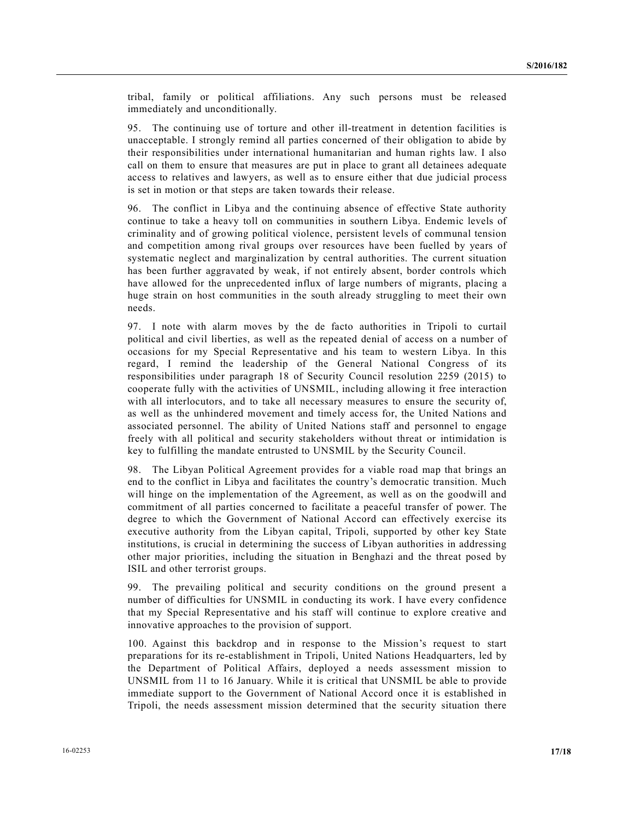S/2016/182<br>
S/2016/182<br>
Stribal, family or political affiliations. Any such persons must be released<br>
immediately and unconditionally.<br>
The continuing use of torture and other ill-treatment in detention facilities is<br>
unac S/20<br>
stribal, family or political affiliations. Any such persons must be released<br>
immediately and unconditionally.<br>
95. The continuing use of torture and other ill-treatment in detention facilities is<br>
unacceptable. I st S/2016/182<br>
195. The continuing use of torture and other ill-treatment in detention facilities is<br>
195. The continuing use of torture and other ill-treatment in detention facilities is<br>
195. The continuing use of torture a scheme Scheme Scheme Scheme Scheme Scheme Scheme Scheme Scheme Scheme Scheme Scheme Scheme Scheme Scheme Scheme Scheme Scheme Scheme Scheme Scheme Scheme Scheme Scheme Scheme Scheme Scheme Scheme Scheme Scheme Scheme Schem S72016/182<br>
tribal, family or political affiliations. Any such persons must be released<br>
immediately and unconditionally.<br>
95. The continuing use of torture and other ill-treatment in detention facilities is<br>
unacceptable. S/2016/182<br>
simmediately and unconditionally.<br>
S. The continuing use of torture and other ill-treatment in detention facilities is<br>
unacceptable. I strongly remind all parties concerned of their obligation to abide by<br>
the S72016/182<br>
acception and the productional straines. Any such persons must be released<br>
immediately and unconditionally.<br>
95. The continuing use of torture and other ill-treatment in detention facilities is<br>
unacceptable. S2016/182<br>
iribal, family or political affiliations. Any such persons must be released<br>
immediately and unconditionally.<br>
95. The continuing use of torture and other ill-treatment in detention facilities is<br>
unacceptable.

S72016/182<br>
1961, family or political affiliations. Any such persons must be released<br>
immediately and unconditionally.<br>
95. The continuing use of torture and other ill-treatment in detention facilities is<br>
unacceptable. I Sc2016/182<br>
tribal, family or political affiliations. Any such persons must be released<br>
immediately and unconditionally.<br>
95. The continuing use of orture and other ill-treatment in detention facilities is<br>
unacceptable. S72016/182<br>
fitbal, family or political affiliations. Any such persons must be released<br>
immediately and unconditionally.<br>
95. The continuing use of torture and other ill-treatment in detention facilities is<br>
unacceptable. **S72016/182**<br> **Etribal, family** or political affiliations. Any such persons must be released<br>
immediately and unconditionally.<br> **SPS.** The continuing use of torture and other ill-treatment in detention facilities is<br>
unacc systematic neglect and marginalization by central authorities in Teinventreliant and marginalization and marginalization and marginalization and marginal particular concerned of their obligation to abide by the current sit **S2016/182**<br> **S2016/182**<br> **tribal,** family or political affiliations. Any such persons must be released<br>
onmediately and unconditionally.<br>
95. The continuing use of torture and other ill-treatment in detention facilities **S2016/182**<br> **S2016/182**<br> **S2016/182**<br> **Ethical** computionally, the profitteed influited influenced influence<br>
of the unitary are of the unitary and particular parameterism of their obligation to abide by<br>
the uncorrelated **S2016/182**<br>**S2016/182**<br>**S2016/182**<br>**S2016/182**<br>**S2016/182**<br>**S2016** in mechaning use of torture and other ill-treatment in detention facilities is<br>**unacceptable.** Is rrongly remind all partices concerned of their objetatio needs. SCO16/182<br>
SCO16/182<br>
SCO16/182<br>
SCO16/182<br>
SCO16/182<br>
SCO16/182<br>
SCON The continuing use of forture and other ill-treatment in detention facilities is<br>
one<br>
acceery their imponsibilities under thirtentianal humanitarian a fribal, family or political affiliations. Any such persons must be released immediately and unconditionally.<br>
95. The continuing use of torture and other ill-treatment in detention facilities is the<br>
unacceptable. Is trong tribal, family or political affiliations. Any such persons must be released<br>orim-ediately and unconditionally.<br>Soc. The continuing use of fortere and other ill-treatment in detention facilities is<br>unacceptable. I strongly

tribut, lamily or political attilations. Any such persons must be released eminediately and unconditionally.<br>
95. The continuing use of torture and other ill-treatment in detention facilities is unacceptable. I strongly re mmediately and unconditionally.<br>
975. The continuing use of fortice and other ill-treatment in detention facilities is<br>
unacceptable. I strongly remind all parties concerned of their obligation to abide by<br>
their responsib 95. The continuing use of torture and other ill-treatment in detention facilities is unacceptable. I strongly remind all partice concerned of their objigation to abide by their exponsibilities under international humanitar unacceptable. I strongly remind all parties concerned of their obitgation to abide by<br>their responsibilities under international humanitarian and human rights law. I also<br>call on them to ensure that measures are put in pla their responsibitities under international humanitarian and human rights law. 1 also<br>column them to canver that measures are put in place to grant all detaineers adequate<br>access to relatives and lawyers, as well as to ensa call on them to ensure that measures are put in place to grant all detainees adequate<br>access to relatives and lawyers, as well as to ensure citier that due judicial process<br>is ast in motion or that steps are taken towards access to relatives and lawyers, as well as to ensure either that due judicial process<br>is et in motion or that steps are laken lowards their release.<br>So f. The conflicie in Libya and the continuing absence of effective Sta is set in motion or that steps are taken towards their release.<br>
96. The conflict in Libya and the continuing absence of effective State authority<br>
96. The conflict in Libya and the continuing absence of effective State au 96. The conflict in Libya and the continuing absence of effective State authority continue to these a heavy toll on communites in southern Libya. Endemic lovels of criminality and of growing political violence, persistent continue to take a heavy foll on communities in southern Libya. Endemic levels of criminality and of growing political violence, persistent levels of communal tension systematic neglect and marginalization by event is the eriminality and of growing political violence, persistent levels of communal tension<br>aystematic negatival an amag rival groups over resources have been fuelded by vears of<br>systematic negleet and marginalization by central and competition among rival groups over resources have been fuelled by years of systematic megleer and marginalization by contral autobrities. The current situation has been further aggravated by weak, if not entirely abse systematic neglect and marginalization by central authorities. The current situation<br>has been firtter aggravated by weak, if not entirely absart, border controls which<br>have allowed for the unprecedented influx of large num has been further aggravated by weak, if not entirely absent, border controls which<br>have altowed for the unprecedented influx of large numbers of migrants, phecing a<br>huge strain on host communities in the south already stru have allowed for the unprecedented influx of large numbers of migrants, placing a<br>single strain on host communities in the south already struggling to meet their own<br>presents.<br>Of the case with alarm moves by the de fateo a huge strain on host communities in the south already struggling to meet their own<br>profit.<br>The symple is the symple and civil liberties, as well as the repared denial of cocess on a number of<br>positical and civil liberties, needs.<br>
needs.<br>
needs.<br>
The with alarm moves by the de facto authorities in Tripoli to curtail<br>
9political and civil liberties, as well as the repeated denial of access on a number of<br>
needsions for my Special Representati 97. I note with alarm moves by the de facto authorities in Tripoli to curtail<br>political and civil liberties, as well as the repeated denial of accees on a number of<br>pocaisions for my Special Representative and his team to political and civil liberties, as well as the repeated denial of access on a number of<br>occasions for my Special Representative and its iteam to weastern Libya. In this<br>regard, I remind the leadership of the Gieneral Nation occasions for my Special Representative and his team to western Libya. In this regard, I remined the Ueneral National Control resolutions of the Greenal National Contexts of UNSMIL, including allowing it free interaction c

regard. I remind the leadership of the General National Congress of its<br>responsibilities under paragraph IS of Security Council resolution 2259 (2015) to<br>cooperate fully with the activities of UNSMIL, including allowing it responsibilities under paragraph IS of Security Council resolution 2239 (2015) to<br>scoperate fully with the activities of UNSMIL, including allowing it free interaction<br>si well as the unhidered movement and timely access fo cooperate luly with the activities of UNSMIL, including allowing it the interaction<br>since with all interlocutions, and to take all necessary measures to ensure the security of,<br>associated personnel. The ability of United N will all metrocutors, and to take all necessary measures to ensure the security of, and sas well as the unindered movement and timely access for, the United Nations and assessing and personnel. The ability of United Nation as well as the unhindred movement and tumely access tor, the United Nations and<br>associated personnel. The ability of United Nations staff and personnel to engage<br>freely with all political and security stakeholders without associated personnel. The ability of United Nations stall and personnel to engage<br>freely with all political and security stakeholders without threat or intimidation is<br>key to fulfilling the mandate entrusted to UNSMIL by t Irecyl with all political and security stakeholders without threat or natumatation is<br>key to fulfilling the mandate entrusted to UNSMIL by the Security Council.<br>Specifical Agreement provides for a viable road map that brin